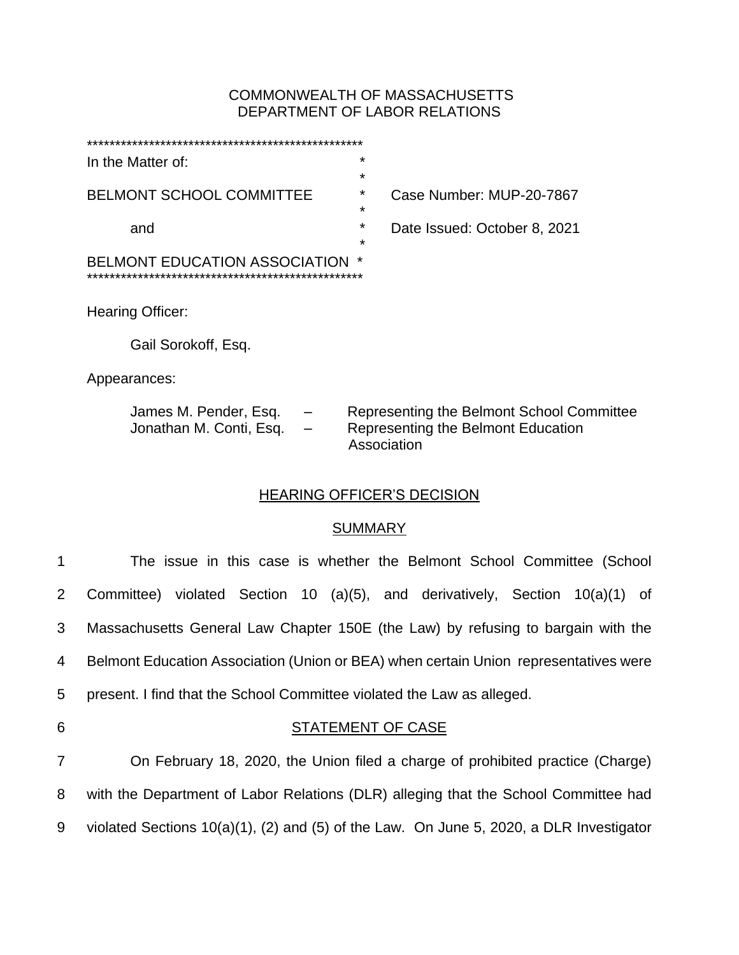## COMMONWEALTH OF MASSACHUSETTS DEPARTMENT OF LABOR RELATIONS

| In the Matter of:               | $\ast$  |                              |
|---------------------------------|---------|------------------------------|
|                                 | $\star$ |                              |
| <b>BELMONT SCHOOL COMMITTEE</b> | $\star$ | Case Number: MUP-20-7867     |
|                                 | $\star$ |                              |
| and                             | $\ast$  | Date Issued: October 8, 2021 |
|                                 | $\star$ |                              |
| BELMONT EDUCATION ASSOCIATION   | *       |                              |
|                                 |         |                              |
|                                 |         |                              |
| <b>Hearing Officer:</b>         |         |                              |

Gail Sorokoff, Esq.

Appearances:

| James M. Pender, Esq.   | $\overline{\phantom{0}}$ | Representing the Belmont School Committee |
|-------------------------|--------------------------|-------------------------------------------|
| Jonathan M. Conti, Esq. | $\overline{\phantom{0}}$ | Representing the Belmont Education        |
|                         |                          | Association                               |

# HEARING OFFICER'S DECISION

# **SUMMARY**

| $\mathbf{1}$   | The issue in this case is whether the Belmont School Committee (School                     |
|----------------|--------------------------------------------------------------------------------------------|
| $\overline{2}$ | Committee) violated Section 10 (a)(5), and derivatively, Section 10(a)(1) of               |
| 3              | Massachusetts General Law Chapter 150E (the Law) by refusing to bargain with the           |
| 4              | Belmont Education Association (Union or BEA) when certain Union representatives were       |
| 5              | present. I find that the School Committee violated the Law as alleged.                     |
| 6              | STATEMENT OF CASE                                                                          |
| $\overline{7}$ | On February 18, 2020, the Union filed a charge of prohibited practice (Charge)             |
| 8              | with the Department of Labor Relations (DLR) alleging that the School Committee had        |
| 9              | violated Sections $10(a)(1)$ , (2) and (5) of the Law. On June 5, 2020, a DLR Investigator |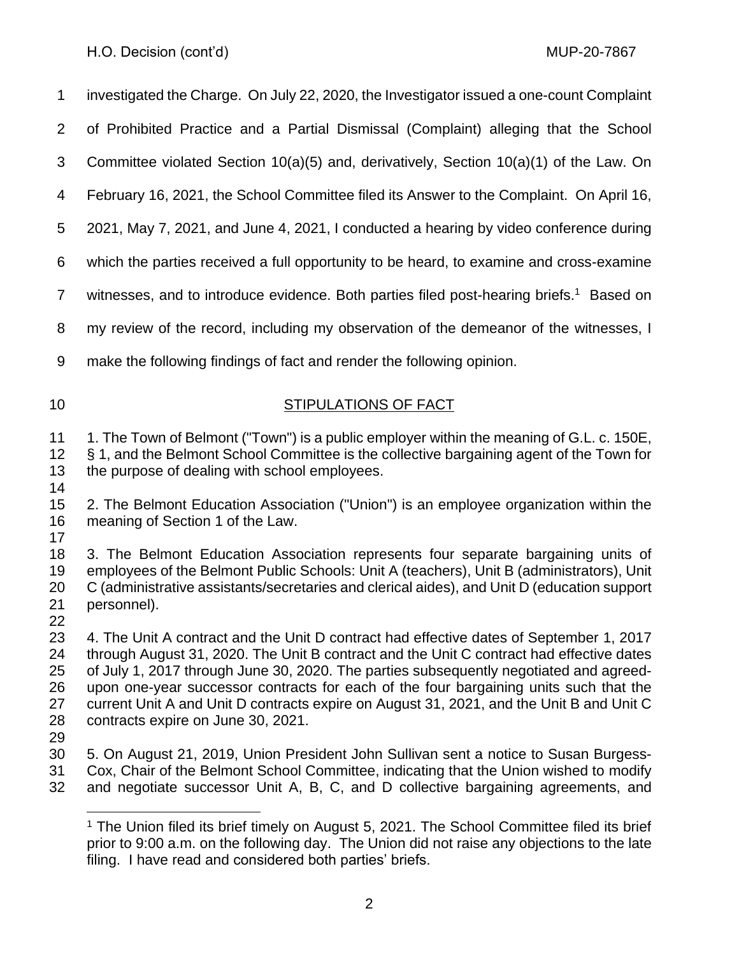investigated the Charge. On July 22, 2020, the Investigator issued a one-count Complaint of Prohibited Practice and a Partial Dismissal (Complaint) alleging that the School Committee violated Section 10(a)(5) and, derivatively, Section 10(a)(1) of the Law. On February 16, 2021, the School Committee filed its Answer to the Complaint. On April 16, 2021, May 7, 2021, and June 4, 2021, I conducted a hearing by video conference during which the parties received a full opportunity to be heard, to examine and cross-examine 7 witnesses, and to introduce evidence. Both parties filed post-hearing briefs.<sup>1</sup> Based on

my review of the record, including my observation of the demeanor of the witnesses, I

- make the following findings of fact and render the following opinion.
- 

# 10 STIPULATIONS OF FACT

11 1. The Town of Belmont ("Town") is a public employer within the meaning of G.L. c. 150E, § 1, and the Belmont School Committee is the collective bargaining agent of the Town for the purpose of dealing with school employees.

 2. The Belmont Education Association ("Union") is an employee organization within the meaning of Section 1 of the Law. 

 3. The Belmont Education Association represents four separate bargaining units of employees of the Belmont Public Schools: Unit A (teachers), Unit B (administrators), Unit C (administrative assistants/secretaries and clerical aides), and Unit D (education support personnel).

 4. The Unit A contract and the Unit D contract had effective dates of September 1, 2017 through August 31, 2020. The Unit B contract and the Unit C contract had effective dates of July 1, 2017 through June 30, 2020. The parties subsequently negotiated and agreed- upon one-year successor contracts for each of the four bargaining units such that the current Unit A and Unit D contracts expire on August 31, 2021, and the Unit B and Unit C contracts expire on June 30, 2021.

 5. On August 21, 2019, Union President John Sullivan sent a notice to Susan Burgess- Cox, Chair of the Belmont School Committee, indicating that the Union wished to modify and negotiate successor Unit A, B, C, and D collective bargaining agreements, and

<sup>&</sup>lt;sup>1</sup> The Union filed its brief timely on August 5, 2021. The School Committee filed its brief prior to 9:00 a.m. on the following day. The Union did not raise any objections to the late filing. I have read and considered both parties' briefs.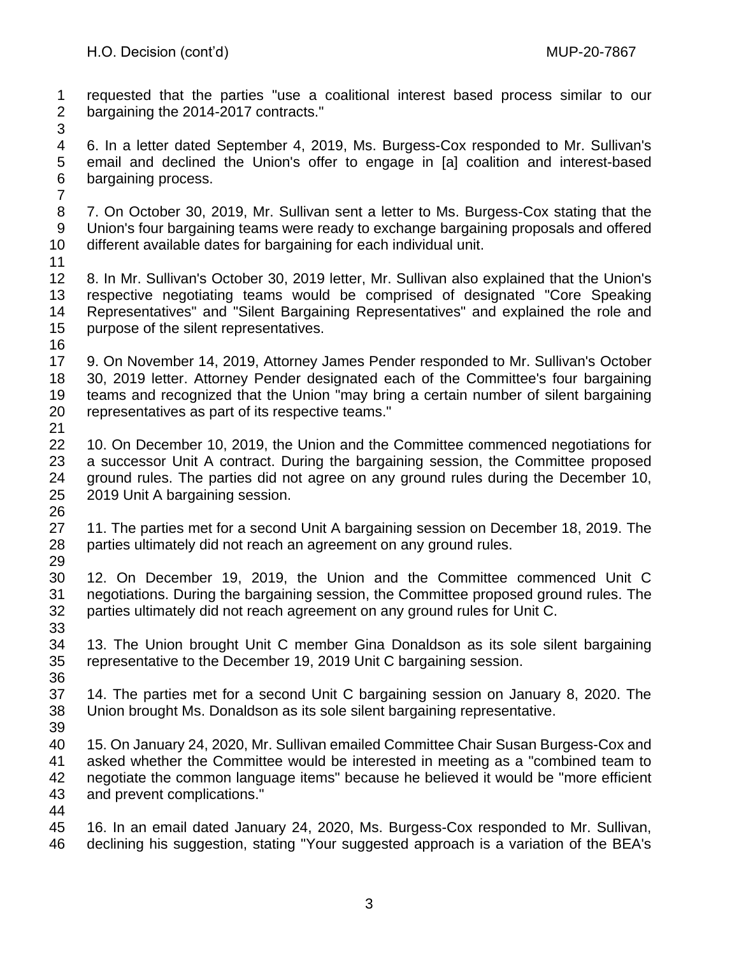requested that the parties "use a coalitional interest based process similar to our bargaining the 2014-2017 contracts."

 6. In a letter dated September 4, 2019, Ms. Burgess-Cox responded to Mr. Sullivan's email and declined the Union's offer to engage in [a] coalition and interest-based bargaining process.

 7. On October 30, 2019, Mr. Sullivan sent a letter to Ms. Burgess-Cox stating that the Union's four bargaining teams were ready to exchange bargaining proposals and offered different available dates for bargaining for each individual unit.

 8. In Mr. Sullivan's October 30, 2019 letter, Mr. Sullivan also explained that the Union's respective negotiating teams would be comprised of designated "Core Speaking Representatives" and "Silent Bargaining Representatives" and explained the role and purpose of the silent representatives.

 9. On November 14, 2019, Attorney James Pender responded to Mr. Sullivan's October 30, 2019 letter. Attorney Pender designated each of the Committee's four bargaining teams and recognized that the Union "may bring a certain number of silent bargaining representatives as part of its respective teams."

 10. On December 10, 2019, the Union and the Committee commenced negotiations for a successor Unit A contract. During the bargaining session, the Committee proposed ground rules. The parties did not agree on any ground rules during the December 10, 2019 Unit A bargaining session. 

- 11. The parties met for a second Unit A bargaining session on December 18, 2019. The parties ultimately did not reach an agreement on any ground rules.
- 

 12. On December 19, 2019, the Union and the Committee commenced Unit C negotiations. During the bargaining session, the Committee proposed ground rules. The parties ultimately did not reach agreement on any ground rules for Unit C.

- 13. The Union brought Unit C member Gina Donaldson as its sole silent bargaining representative to the December 19, 2019 Unit C bargaining session.
- 

 14. The parties met for a second Unit C bargaining session on January 8, 2020. The Union brought Ms. Donaldson as its sole silent bargaining representative.

 15. On January 24, 2020, Mr. Sullivan emailed Committee Chair Susan Burgess-Cox and asked whether the Committee would be interested in meeting as a "combined team to negotiate the common language items" because he believed it would be "more efficient and prevent complications."

 16. In an email dated January 24, 2020, Ms. Burgess-Cox responded to Mr. Sullivan, declining his suggestion, stating "Your suggested approach is a variation of the BEA's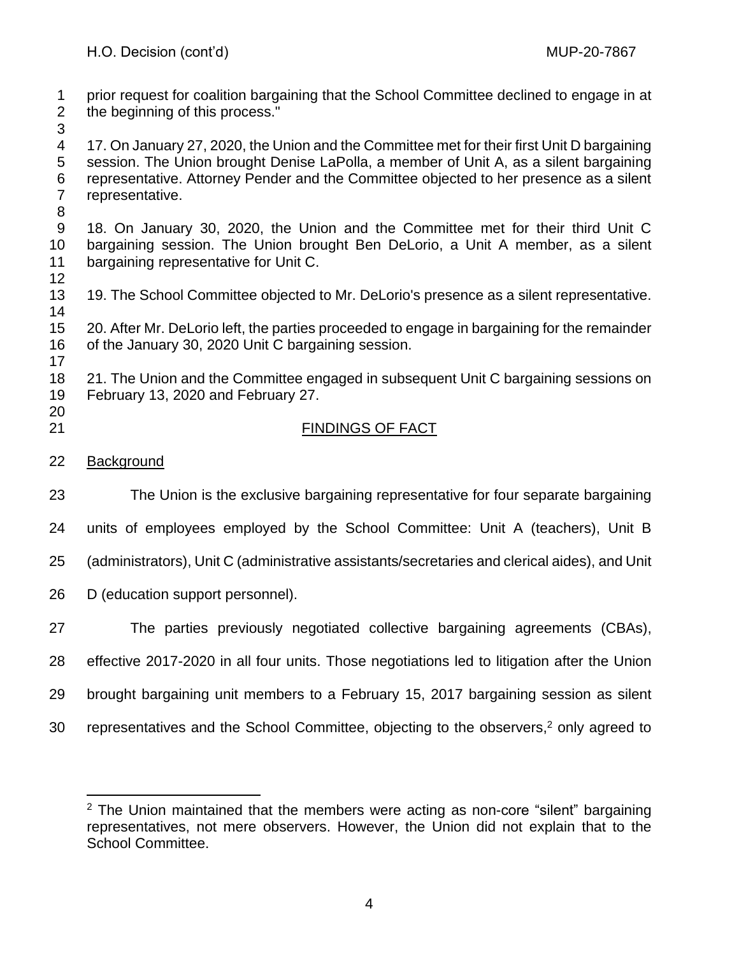prior request for coalition bargaining that the School Committee declined to engage in at the beginning of this process."

 17. On January 27, 2020, the Union and the Committee met for their first Unit D bargaining session. The Union brought Denise LaPolla, a member of Unit A, as a silent bargaining representative. Attorney Pender and the Committee objected to her presence as a silent representative.

 18. On January 30, 2020, the Union and the Committee met for their third Unit C bargaining session. The Union brought Ben DeLorio, a Unit A member, as a silent bargaining representative for Unit C.

 19. The School Committee objected to Mr. DeLorio's presence as a silent representative. 

 20. After Mr. DeLorio left, the parties proceeded to engage in bargaining for the remainder of the January 30, 2020 Unit C bargaining session. 

 21. The Union and the Committee engaged in subsequent Unit C bargaining sessions on February 13, 2020 and February 27.

# FINDINGS OF FACT

Background

The Union is the exclusive bargaining representative for four separate bargaining

units of employees employed by the School Committee: Unit A (teachers), Unit B

(administrators), Unit C (administrative assistants/secretaries and clerical aides), and Unit

D (education support personnel).

The parties previously negotiated collective bargaining agreements (CBAs),

- effective 2017-2020 in all four units. Those negotiations led to litigation after the Union
- brought bargaining unit members to a February 15, 2017 bargaining session as silent
- 30 representatives and the School Committee, objecting to the observers,<sup>2</sup> only agreed to

 The Union maintained that the members were acting as non-core "silent" bargaining representatives, not mere observers. However, the Union did not explain that to the School Committee.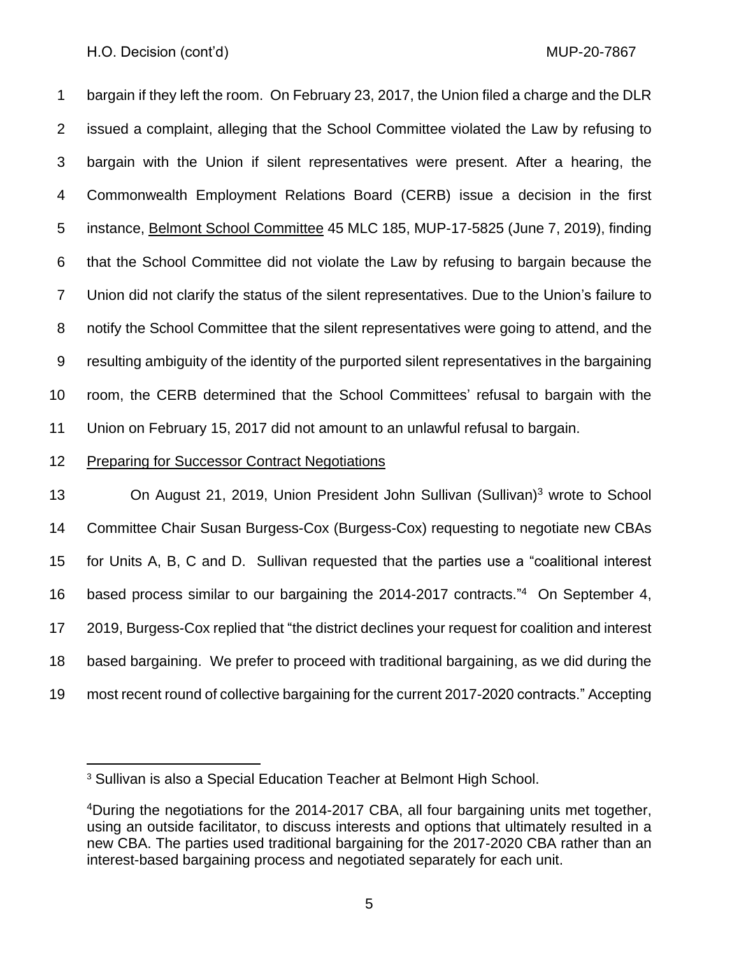bargain if they left the room. On February 23, 2017, the Union filed a charge and the DLR issued a complaint, alleging that the School Committee violated the Law by refusing to bargain with the Union if silent representatives were present. After a hearing, the Commonwealth Employment Relations Board (CERB) issue a decision in the first instance, Belmont School Committee 45 MLC 185, MUP-17-5825 (June 7, 2019), finding that the School Committee did not violate the Law by refusing to bargain because the Union did not clarify the status of the silent representatives. Due to the Union's failure to notify the School Committee that the silent representatives were going to attend, and the resulting ambiguity of the identity of the purported silent representatives in the bargaining room, the CERB determined that the School Committees' refusal to bargain with the Union on February 15, 2017 did not amount to an unlawful refusal to bargain.

## Preparing for Successor Contract Negotiations

**On August 21, 2019, Union President John Sullivan (Sullivan)**<sup>3</sup> wrote to School Committee Chair Susan Burgess-Cox (Burgess-Cox) requesting to negotiate new CBAs for Units A, B, C and D. Sullivan requested that the parties use a "coalitional interest 16 based process similar to our bargaining the 2014-2017 contracts."<sup>4</sup> On September 4, 2019, Burgess-Cox replied that "the district declines your request for coalition and interest based bargaining. We prefer to proceed with traditional bargaining, as we did during the most recent round of collective bargaining for the current 2017-2020 contracts." Accepting

Sullivan is also a Special Education Teacher at Belmont High School.

During the negotiations for the 2014-2017 CBA, all four bargaining units met together, using an outside facilitator, to discuss interests and options that ultimately resulted in a new CBA. The parties used traditional bargaining for the 2017-2020 CBA rather than an interest-based bargaining process and negotiated separately for each unit.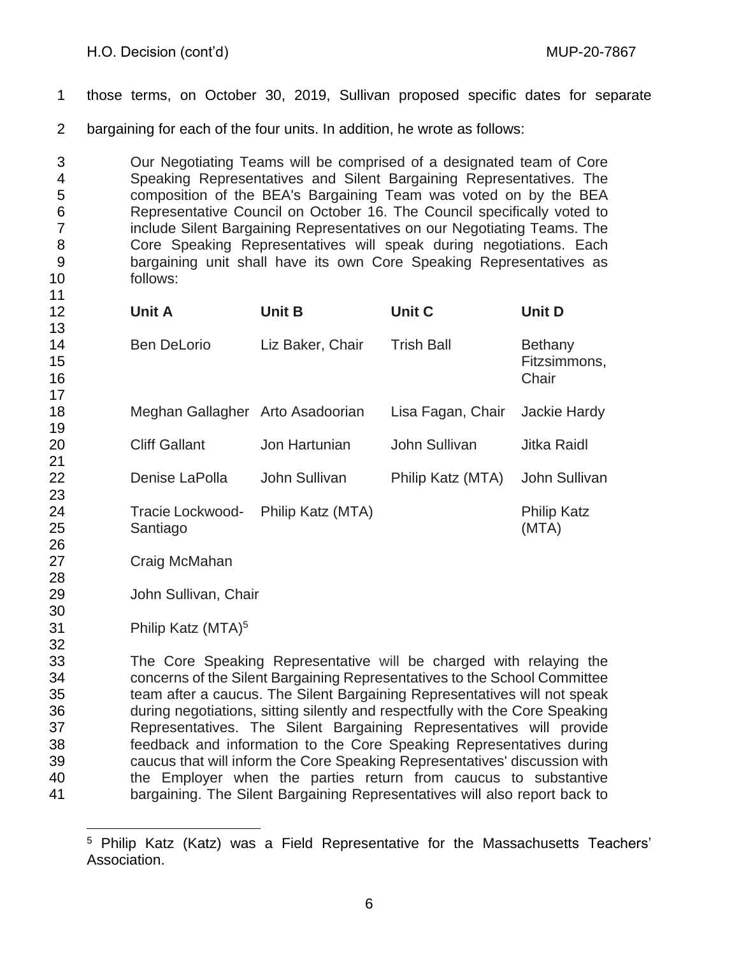- those terms, on October 30, 2019, Sullivan proposed specific dates for separate
- bargaining for each of the four units. In addition, he wrote as follows:

 Our Negotiating Teams will be comprised of a designated team of Core Speaking Representatives and Silent Bargaining Representatives. The composition of the BEA's Bargaining Team was voted on by the BEA Representative Council on October 16. The Council specifically voted to include Silent Bargaining Representatives on our Negotiating Teams. The Core Speaking Representatives will speak during negotiations. Each bargaining unit shall have its own Core Speaking Representatives as follows:

| 12<br>13       | <b>Unit A</b>                  | <b>Unit B</b>     | <b>Unit C</b>     | <b>Unit D</b>                    |
|----------------|--------------------------------|-------------------|-------------------|----------------------------------|
| 14<br>15<br>16 | <b>Ben DeLorio</b>             | Liz Baker, Chair  | <b>Trish Ball</b> | Bethany<br>Fitzsimmons,<br>Chair |
| 17<br>18<br>19 | Meghan Gallagher               | Arto Asadoorian   | Lisa Fagan, Chair | Jackie Hardy                     |
| 20<br>21       | <b>Cliff Gallant</b>           | Jon Hartunian     | John Sullivan     | <b>Jitka Raidl</b>               |
| 22<br>23       | Denise LaPolla                 | John Sullivan     | Philip Katz (MTA) | John Sullivan                    |
| 24<br>25<br>26 | Tracie Lockwood-<br>Santiago   | Philip Katz (MTA) |                   | <b>Philip Katz</b><br>(MTA)      |
| 27<br>28       | Craig McMahan                  |                   |                   |                                  |
| 29<br>30       | John Sullivan, Chair           |                   |                   |                                  |
| 31<br>32       | Philip Katz (MTA) <sup>5</sup> |                   |                   |                                  |

 The Core Speaking Representative will be charged with relaying the concerns of the Silent Bargaining Representatives to the School Committee team after a caucus. The Silent Bargaining Representatives will not speak during negotiations, sitting silently and respectfully with the Core Speaking Representatives. The Silent Bargaining Representatives will provide feedback and information to the Core Speaking Representatives during caucus that will inform the Core Speaking Representatives' discussion with the Employer when the parties return from caucus to substantive bargaining. The Silent Bargaining Representatives will also report back to

 Philip Katz (Katz) was a Field Representative for the Massachusetts Teachers' Association.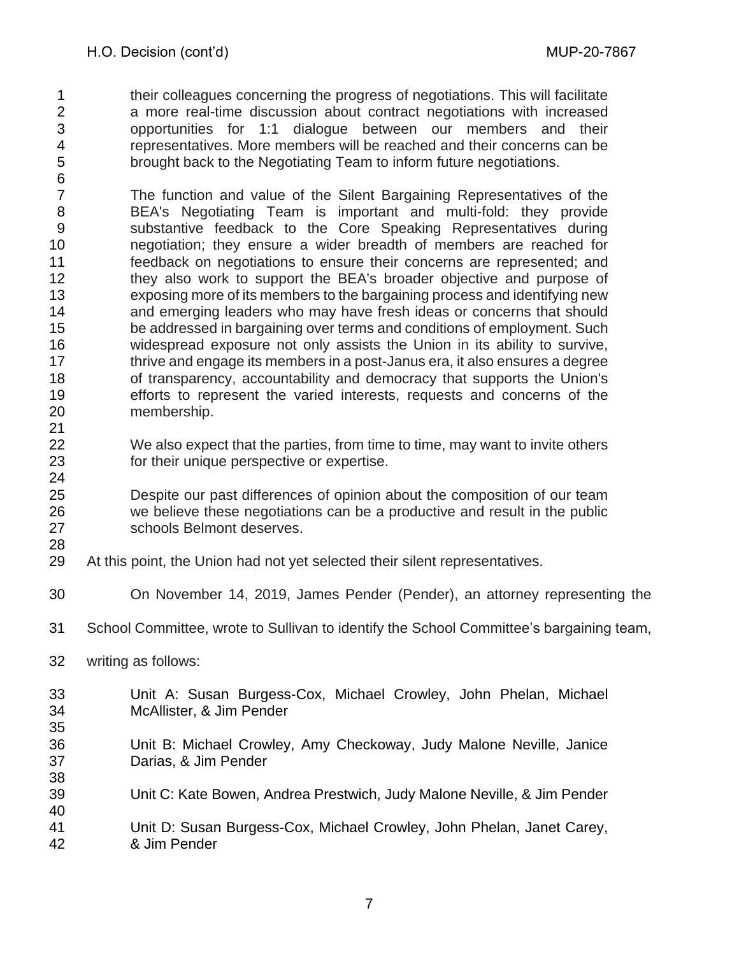- their colleagues concerning the progress of negotiations. This will facilitate a more real-time discussion about contract negotiations with increased opportunities for 1:1 dialogue between our members and their representatives. More members will be reached and their concerns can be brought back to the Negotiating Team to inform future negotiations.
- The function and value of the Silent Bargaining Representatives of the BEA's Negotiating Team is important and multi-fold: they provide substantive feedback to the Core Speaking Representatives during negotiation; they ensure a wider breadth of members are reached for feedback on negotiations to ensure their concerns are represented; and 12 they also work to support the BEA's broader objective and purpose of exposing more of its members to the bargaining process and identifying new 14 and emerging leaders who may have fresh ideas or concerns that should be addressed in bargaining over terms and conditions of employment. Such widespread exposure not only assists the Union in its ability to survive, thrive and engage its members in a post-Janus era, it also ensures a degree of transparency, accountability and democracy that supports the Union's efforts to represent the varied interests, requests and concerns of the membership.
- We also expect that the parties, from time to time, may want to invite others for their unique perspective or expertise.
- Despite our past differences of opinion about the composition of our team we believe these negotiations can be a productive and result in the public schools Belmont deserves.
- 

- At this point, the Union had not yet selected their silent representatives.
- On November 14, 2019, James Pender (Pender), an attorney representing the
- School Committee, wrote to Sullivan to identify the School Committee's bargaining team,
- writing as follows:
- Unit A: Susan Burgess-Cox, Michael Crowley, John Phelan, Michael McAllister, & Jim Pender
- Unit B: Michael Crowley, Amy Checkoway, Judy Malone Neville, Janice Darias, & Jim Pender
- Unit C: Kate Bowen, Andrea Prestwich, Judy Malone Neville, & Jim Pender
- Unit D: Susan Burgess-Cox, Michael Crowley, John Phelan, Janet Carey, & Jim Pender
	-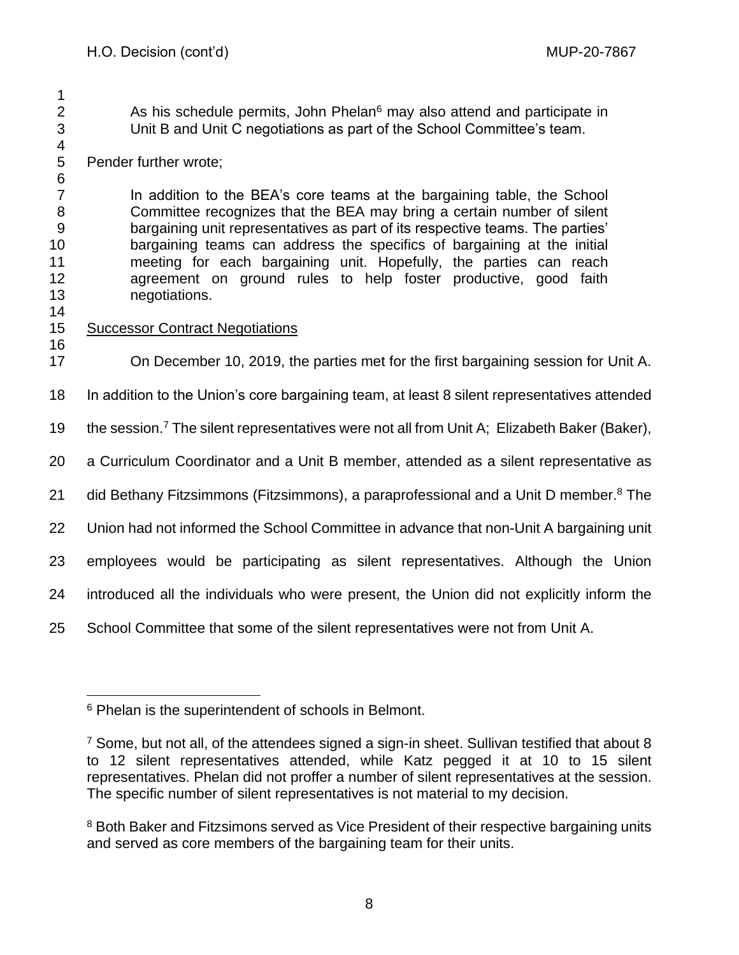2 As his schedule permits, John Phelan<sup>6</sup> may also attend and participate in Unit B and Unit C negotiations as part of the School Committee's team.

4<br>5 Pender further wrote; 

 In addition to the BEA's core teams at the bargaining table, the School Committee recognizes that the BEA may bring a certain number of silent bargaining unit representatives as part of its respective teams. The parties' bargaining teams can address the specifics of bargaining at the initial meeting for each bargaining unit. Hopefully, the parties can reach agreement on ground rules to help foster productive, good faith negotiations.

## 

#### Successor Contract Negotiations

On December 10, 2019, the parties met for the first bargaining session for Unit A.

In addition to the Union's core bargaining team, at least 8 silent representatives attended

19 the session.<sup>7</sup> The silent representatives were not all from Unit A; Elizabeth Baker (Baker),

a Curriculum Coordinator and a Unit B member, attended as a silent representative as

21 did Bethany Fitzsimmons (Fitzsimmons), a paraprofessional and a Unit D member.<sup>8</sup> The

Union had not informed the School Committee in advance that non-Unit A bargaining unit

employees would be participating as silent representatives. Although the Union

introduced all the individuals who were present, the Union did not explicitly inform the

School Committee that some of the silent representatives were not from Unit A.

<sup>&</sup>lt;sup>6</sup> Phelan is the superintendent of schools in Belmont.

 $^7$  Some, but not all, of the attendees signed a sign-in sheet. Sullivan testified that about 8 to 12 silent representatives attended, while Katz pegged it at 10 to 15 silent representatives. Phelan did not proffer a number of silent representatives at the session. The specific number of silent representatives is not material to my decision.

<sup>&</sup>lt;sup>8</sup> Both Baker and Fitzsimons served as Vice President of their respective bargaining units and served as core members of the bargaining team for their units.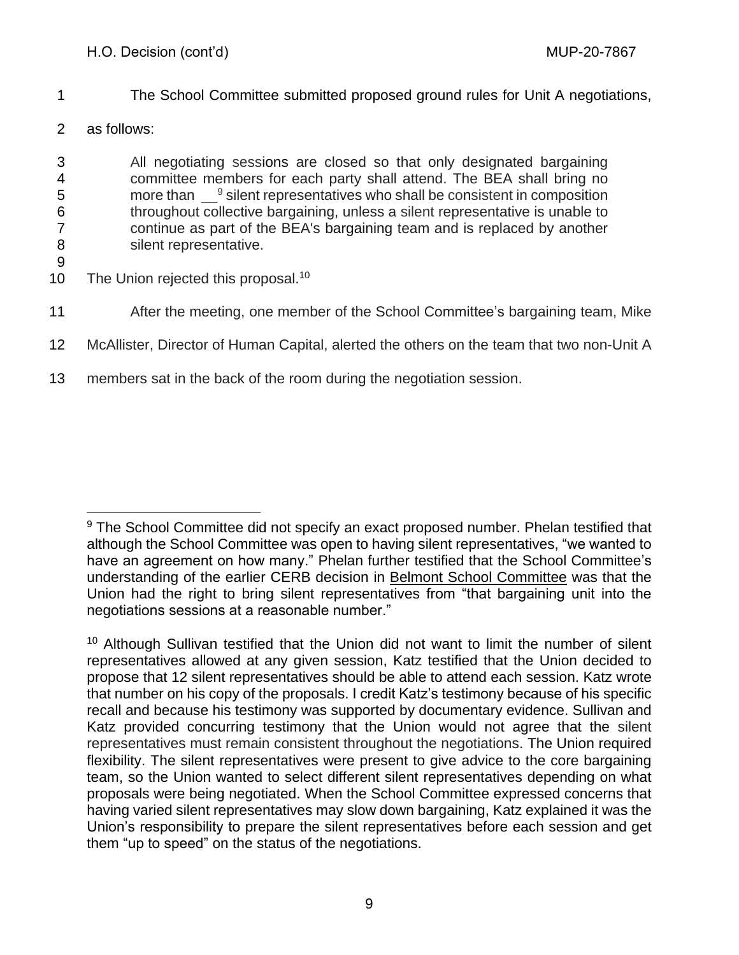- 1 The School Committee submitted proposed ground rules for Unit A negotiations,
- 2 as follows:

 All negotiating sessions are closed so that only designated bargaining committee members for each party shall attend. The BEA shall bring no 5 more than  $\Box^9$  silent representatives who shall be consistent in composition throughout collective bargaining, unless a silent representative is unable to continue as part of the BEA's bargaining team and is replaced by another 8 silent representative.

9

10 The Union rejected this proposal.<sup>10</sup>

- 11 After the meeting, one member of the School Committee's bargaining team, Mike
- 12 McAllister, Director of Human Capital, alerted the others on the team that two non-Unit A
- 13 members sat in the back of the room during the negotiation session.

<sup>&</sup>lt;sup>9</sup> The School Committee did not specify an exact proposed number. Phelan testified that although the School Committee was open to having silent representatives, "we wanted to have an agreement on how many." Phelan further testified that the School Committee's understanding of the earlier CERB decision in Belmont School Committee was that the Union had the right to bring silent representatives from "that bargaining unit into the negotiations sessions at a reasonable number."

<sup>&</sup>lt;sup>10</sup> Although Sullivan testified that the Union did not want to limit the number of silent representatives allowed at any given session, Katz testified that the Union decided to propose that 12 silent representatives should be able to attend each session. Katz wrote that number on his copy of the proposals. I credit Katz's testimony because of his specific recall and because his testimony was supported by documentary evidence. Sullivan and Katz provided concurring testimony that the Union would not agree that the silent representatives must remain consistent throughout the negotiations. The Union required flexibility. The silent representatives were present to give advice to the core bargaining team, so the Union wanted to select different silent representatives depending on what proposals were being negotiated. When the School Committee expressed concerns that having varied silent representatives may slow down bargaining, Katz explained it was the Union's responsibility to prepare the silent representatives before each session and get them "up to speed" on the status of the negotiations.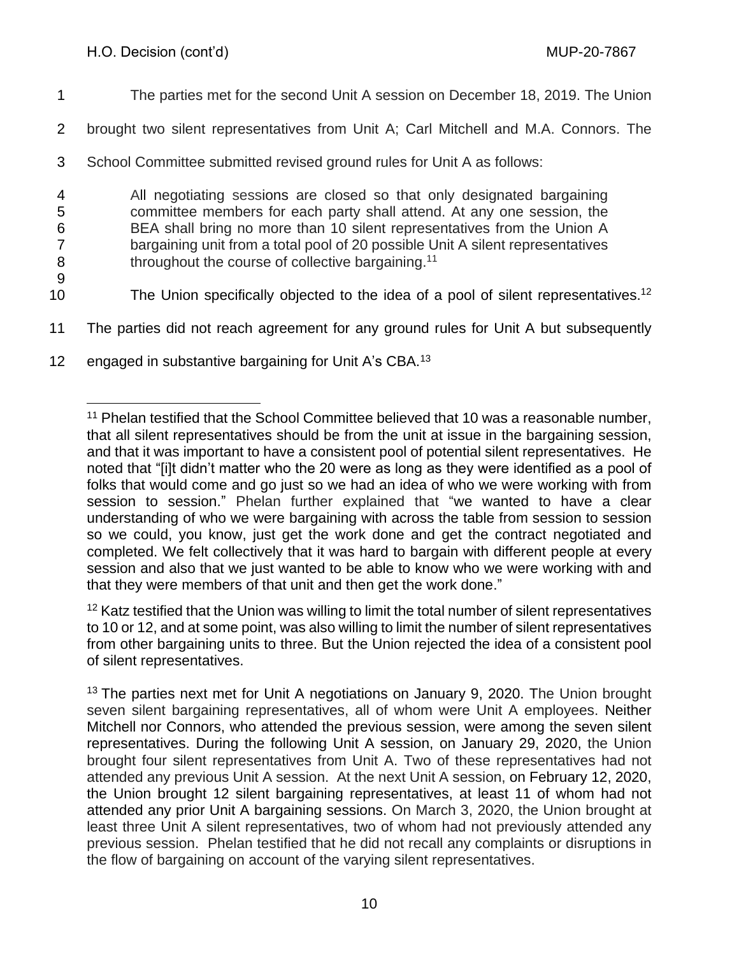- 1 The parties met for the second Unit A session on December 18, 2019. The Union
- 2 brought two silent representatives from Unit A; Carl Mitchell and M.A. Connors. The

3 School Committee submitted revised ground rules for Unit A as follows:

 All negotiating sessions are closed so that only designated bargaining committee members for each party shall attend. At any one session, the BEA shall bring no more than 10 silent representatives from the Union A bargaining unit from a total pool of 20 possible Unit A silent representatives **BEER** throughout the course of collective bargaining.<sup>11</sup>

9

The Union specifically objected to the idea of a pool of silent representatives.<sup>12</sup>

- 11 The parties did not reach agreement for any ground rules for Unit A but subsequently
- 12 engaged in substantive bargaining for Unit A's CBA.<sup>13</sup>

<sup>12</sup> Katz testified that the Union was willing to limit the total number of silent representatives to 10 or 12, and at some point, was also willing to limit the number of silent representatives from other bargaining units to three. But the Union rejected the idea of a consistent pool of silent representatives.

<sup>&</sup>lt;sup>11</sup> Phelan testified that the School Committee believed that 10 was a reasonable number, that all silent representatives should be from the unit at issue in the bargaining session, and that it was important to have a consistent pool of potential silent representatives. He noted that "[i]t didn't matter who the 20 were as long as they were identified as a pool of folks that would come and go just so we had an idea of who we were working with from session to session." Phelan further explained that "we wanted to have a clear understanding of who we were bargaining with across the table from session to session so we could, you know, just get the work done and get the contract negotiated and completed. We felt collectively that it was hard to bargain with different people at every session and also that we just wanted to be able to know who we were working with and that they were members of that unit and then get the work done."

<sup>&</sup>lt;sup>13</sup> The parties next met for Unit A negotiations on January 9, 2020. The Union brought seven silent bargaining representatives, all of whom were Unit A employees. Neither Mitchell nor Connors, who attended the previous session, were among the seven silent representatives. During the following Unit A session, on January 29, 2020, the Union brought four silent representatives from Unit A. Two of these representatives had not attended any previous Unit A session. At the next Unit A session, on February 12, 2020, the Union brought 12 silent bargaining representatives, at least 11 of whom had not attended any prior Unit A bargaining sessions. On March 3, 2020, the Union brought at least three Unit A silent representatives, two of whom had not previously attended any previous session. Phelan testified that he did not recall any complaints or disruptions in the flow of bargaining on account of the varying silent representatives.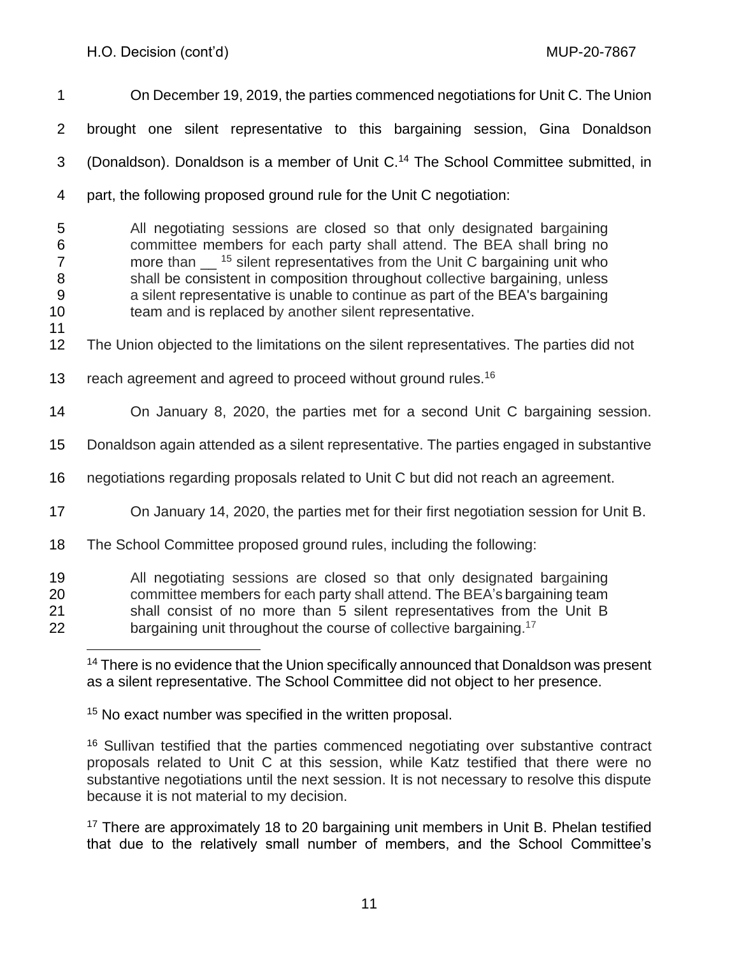| $\mathbf 1$                                                        | On December 19, 2019, the parties commenced negotiations for Unit C. The Union                                                                                                                                                                                                                                                                                                                                                                                    |
|--------------------------------------------------------------------|-------------------------------------------------------------------------------------------------------------------------------------------------------------------------------------------------------------------------------------------------------------------------------------------------------------------------------------------------------------------------------------------------------------------------------------------------------------------|
| $\overline{2}$                                                     | brought one silent representative to this bargaining session, Gina Donaldson                                                                                                                                                                                                                                                                                                                                                                                      |
| 3                                                                  | (Donaldson). Donaldson is a member of Unit C. <sup>14</sup> The School Committee submitted, in                                                                                                                                                                                                                                                                                                                                                                    |
| 4                                                                  | part, the following proposed ground rule for the Unit C negotiation:                                                                                                                                                                                                                                                                                                                                                                                              |
| 5<br>6<br>$\overline{7}$<br>$\, 8$<br>$\boldsymbol{9}$<br>10<br>11 | All negotiating sessions are closed so that only designated bargaining<br>committee members for each party shall attend. The BEA shall bring no<br>more than $\frac{15}{15}$ silent representatives from the Unit C bargaining unit who<br>shall be consistent in composition throughout collective bargaining, unless<br>a silent representative is unable to continue as part of the BEA's bargaining<br>team and is replaced by another silent representative. |
| 12                                                                 | The Union objected to the limitations on the silent representatives. The parties did not                                                                                                                                                                                                                                                                                                                                                                          |
| 13                                                                 | reach agreement and agreed to proceed without ground rules. <sup>16</sup>                                                                                                                                                                                                                                                                                                                                                                                         |
| 14                                                                 | On January 8, 2020, the parties met for a second Unit C bargaining session.                                                                                                                                                                                                                                                                                                                                                                                       |
| 15                                                                 | Donaldson again attended as a silent representative. The parties engaged in substantive                                                                                                                                                                                                                                                                                                                                                                           |
| 16                                                                 | negotiations regarding proposals related to Unit C but did not reach an agreement.                                                                                                                                                                                                                                                                                                                                                                                |
| 17                                                                 | On January 14, 2020, the parties met for their first negotiation session for Unit B.                                                                                                                                                                                                                                                                                                                                                                              |
| 18                                                                 | The School Committee proposed ground rules, including the following:                                                                                                                                                                                                                                                                                                                                                                                              |
| 19<br>20<br>21<br>22                                               | All negotiating sessions are closed so that only designated bargaining<br>committee members for each party shall attend. The BEA's bargaining team<br>shall consist of no more than 5 silent representatives from the Unit B<br>bargaining unit throughout the course of collective bargaining. <sup>17</sup>                                                                                                                                                     |

<sup>15</sup> No exact number was specified in the written proposal.

<sup>16</sup> Sullivan testified that the parties commenced negotiating over substantive contract proposals related to Unit C at this session, while Katz testified that there were no substantive negotiations until the next session. It is not necessary to resolve this dispute because it is not material to my decision.

<sup>17</sup> There are approximately 18 to 20 bargaining unit members in Unit B. Phelan testified that due to the relatively small number of members, and the School Committee's

<sup>&</sup>lt;sup>14</sup> There is no evidence that the Union specifically announced that Donaldson was present as a silent representative. The School Committee did not object to her presence.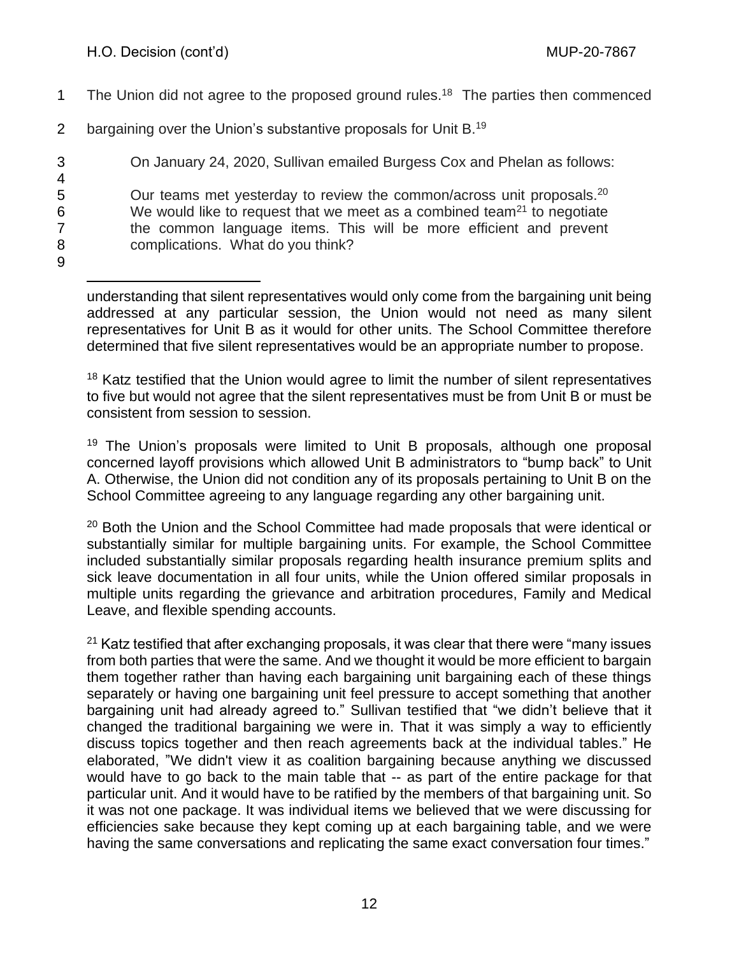1 The Union did not agree to the proposed ground rules.<sup>18</sup> The parties then commenced 2 bargaining over the Union's substantive proposals for Unit B.<sup>19</sup> 3 On January 24, 2020, Sullivan emailed Burgess Cox and Phelan as follows: 4<br>5 Our teams met yesterday to review the common/across unit proposals. $20$ 6 We would like to request that we meet as a combined team<sup>21</sup> to negotiate 7 the common language items. This will be more efficient and prevent 8 complications. What do you think? 9

understanding that silent representatives would only come from the bargaining unit being addressed at any particular session, the Union would not need as many silent representatives for Unit B as it would for other units. The School Committee therefore determined that five silent representatives would be an appropriate number to propose.

<sup>18</sup> Katz testified that the Union would agree to limit the number of silent representatives to five but would not agree that the silent representatives must be from Unit B or must be consistent from session to session.

<sup>19</sup> The Union's proposals were limited to Unit B proposals, although one proposal concerned layoff provisions which allowed Unit B administrators to "bump back" to Unit A. Otherwise, the Union did not condition any of its proposals pertaining to Unit B on the School Committee agreeing to any language regarding any other bargaining unit.

<sup>20</sup> Both the Union and the School Committee had made proposals that were identical or substantially similar for multiple bargaining units. For example, the School Committee included substantially similar proposals regarding health insurance premium splits and sick leave documentation in all four units, while the Union offered similar proposals in multiple units regarding the grievance and arbitration procedures, Family and Medical Leave, and flexible spending accounts.

 $21$  Katz testified that after exchanging proposals, it was clear that there were "many issues from both parties that were the same. And we thought it would be more efficient to bargain them together rather than having each bargaining unit bargaining each of these things separately or having one bargaining unit feel pressure to accept something that another bargaining unit had already agreed to." Sullivan testified that "we didn't believe that it changed the traditional bargaining we were in. That it was simply a way to efficiently discuss topics together and then reach agreements back at the individual tables." He elaborated, "We didn't view it as coalition bargaining because anything we discussed would have to go back to the main table that -- as part of the entire package for that particular unit. And it would have to be ratified by the members of that bargaining unit. So it was not one package. It was individual items we believed that we were discussing for efficiencies sake because they kept coming up at each bargaining table, and we were having the same conversations and replicating the same exact conversation four times."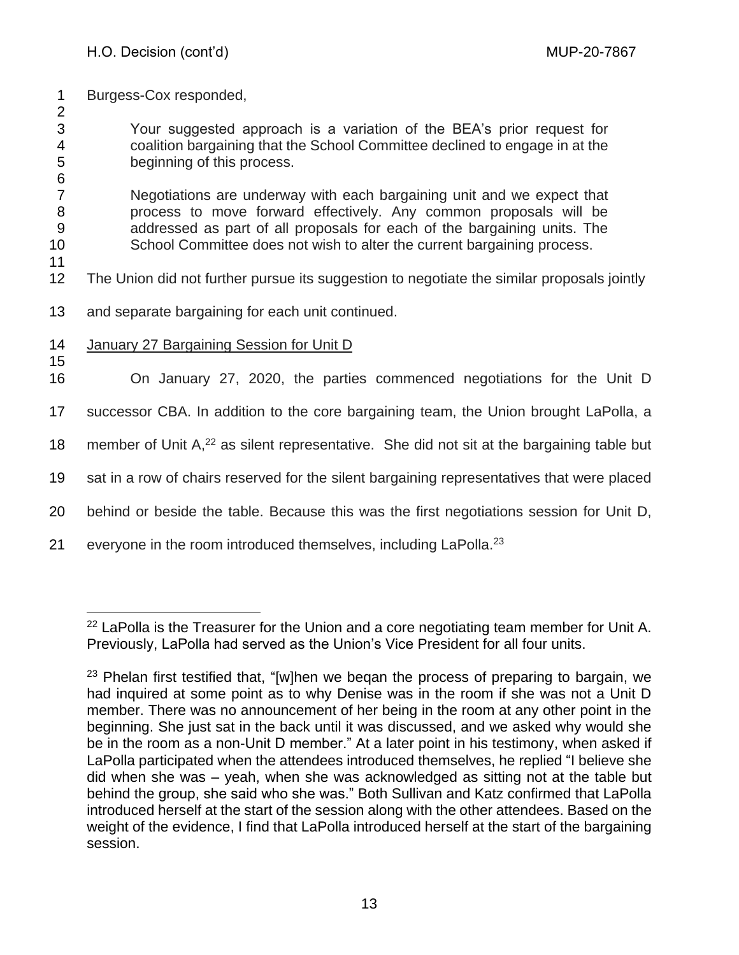- 1 Burgess-Cox responded,
- 2

3 Your suggested approach is a variation of the BEA's prior request for 4 coalition bargaining that the School Committee declined to engage in at the 5 beginning of this process.

6 Negotiations are underway with each bargaining unit and we expect that process to move forward effectively. Any common proposals will be addressed as part of all proposals for each of the bargaining units. The School Committee does not wish to alter the current bargaining process.

- 12 The Union did not further pursue its suggestion to negotiate the similar proposals jointly
- 13 and separate bargaining for each unit continued.
- 14 January 27 Bargaining Session for Unit D
- 15

11

16 On January 27, 2020, the parties commenced negotiations for the Unit D

17 successor CBA. In addition to the core bargaining team, the Union brought LaPolla, a

18 member of Unit  $A<sub>1</sub><sup>22</sup>$  as silent representative. She did not sit at the bargaining table but

19 sat in a row of chairs reserved for the silent bargaining representatives that were placed

- 20 behind or beside the table. Because this was the first negotiations session for Unit D,
- 21 everyone in the room introduced themselves, including LaPolla.<sup>23</sup>

<sup>&</sup>lt;sup>22</sup> LaPolla is the Treasurer for the Union and a core negotiating team member for Unit A. Previously, LaPolla had served as the Union's Vice President for all four units.

<sup>&</sup>lt;sup>23</sup> Phelan first testified that, "[w]hen we began the process of preparing to bargain, we had inquired at some point as to why Denise was in the room if she was not a Unit D member. There was no announcement of her being in the room at any other point in the beginning. She just sat in the back until it was discussed, and we asked why would she be in the room as a non-Unit D member." At a later point in his testimony, when asked if LaPolla participated when the attendees introduced themselves, he replied "I believe she did when she was – yeah, when she was acknowledged as sitting not at the table but behind the group, she said who she was." Both Sullivan and Katz confirmed that LaPolla introduced herself at the start of the session along with the other attendees. Based on the weight of the evidence, I find that LaPolla introduced herself at the start of the bargaining session.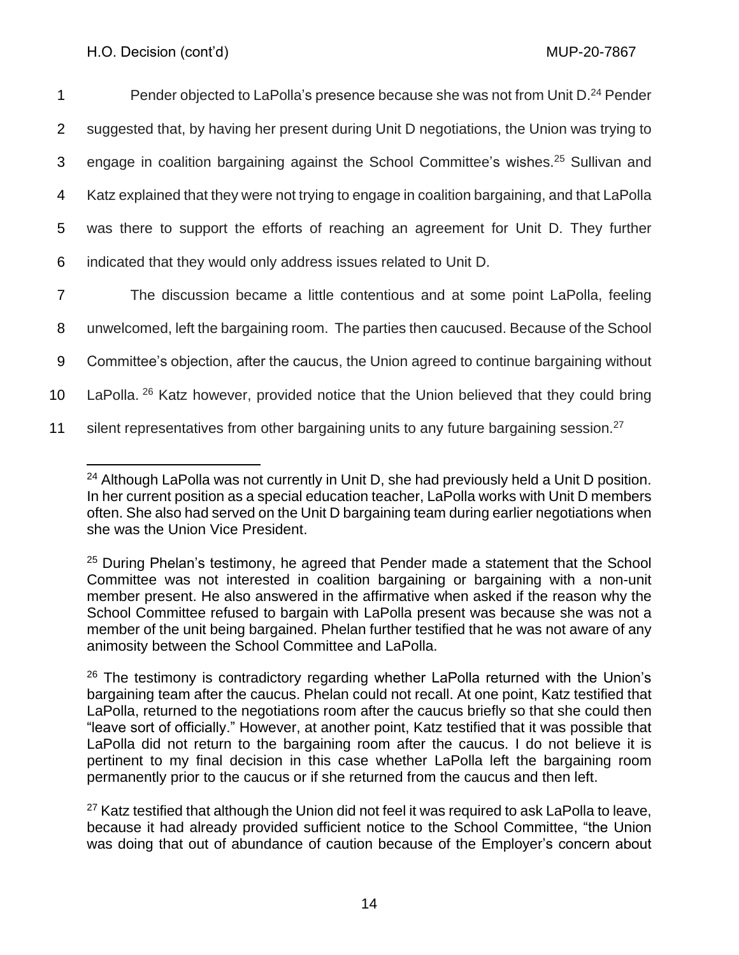| 1               | Pender objected to LaPolla's presence because she was not from Unit D. <sup>24</sup> Pender        |
|-----------------|----------------------------------------------------------------------------------------------------|
| 2               | suggested that, by having her present during Unit D negotiations, the Union was trying to          |
| 3               | engage in coalition bargaining against the School Committee's wishes. <sup>25</sup> Sullivan and   |
| 4               | Katz explained that they were not trying to engage in coalition bargaining, and that LaPolla       |
| 5               | was there to support the efforts of reaching an agreement for Unit D. They further                 |
| 6               | indicated that they would only address issues related to Unit D.                                   |
| 7               | The discussion became a little contentious and at some point LaPolla, feeling                      |
| 8               | unwelcomed, left the bargaining room. The parties then caucused. Because of the School             |
| 9               | Committee's objection, after the caucus, the Union agreed to continue bargaining without           |
| 10 <sub>1</sub> | LaPolla. <sup>26</sup> Katz however, provided notice that the Union believed that they could bring |
| 11              | silent representatives from other bargaining units to any future bargaining session. <sup>27</sup> |

<sup>&</sup>lt;sup>24</sup> Although LaPolla was not currently in Unit D, she had previously held a Unit D position. In her current position as a special education teacher, LaPolla works with Unit D members often. She also had served on the Unit D bargaining team during earlier negotiations when she was the Union Vice President.

<sup>&</sup>lt;sup>25</sup> During Phelan's testimony, he agreed that Pender made a statement that the School Committee was not interested in coalition bargaining or bargaining with a non-unit member present. He also answered in the affirmative when asked if the reason why the School Committee refused to bargain with LaPolla present was because she was not a member of the unit being bargained. Phelan further testified that he was not aware of any animosity between the School Committee and LaPolla.

 $26$  The testimony is contradictory regarding whether LaPolla returned with the Union's bargaining team after the caucus. Phelan could not recall. At one point, Katz testified that LaPolla, returned to the negotiations room after the caucus briefly so that she could then "leave sort of officially." However, at another point, Katz testified that it was possible that LaPolla did not return to the bargaining room after the caucus. I do not believe it is pertinent to my final decision in this case whether LaPolla left the bargaining room permanently prior to the caucus or if she returned from the caucus and then left.

 $27$  Katz testified that although the Union did not feel it was required to ask LaPolla to leave, because it had already provided sufficient notice to the School Committee, "the Union was doing that out of abundance of caution because of the Employer's concern about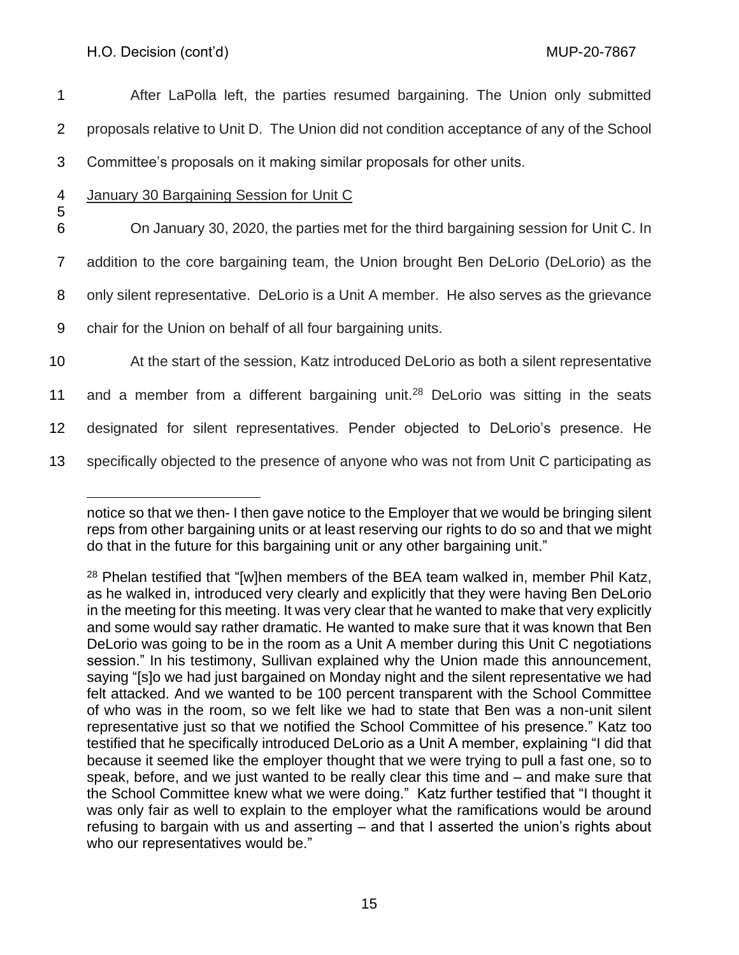After LaPolla left, the parties resumed bargaining. The Union only submitted proposals relative to Unit D. The Union did not condition acceptance of any of the School Committee's proposals on it making similar proposals for other units. January 30 Bargaining Session for Unit C 5 On January 30, 2020, the parties met for the third bargaining session for Unit C. In addition to the core bargaining team, the Union brought Ben DeLorio (DeLorio) as the only silent representative. DeLorio is a Unit A member. He also serves as the grievance chair for the Union on behalf of all four bargaining units. At the start of the session, Katz introduced DeLorio as both a silent representative 11 and a member from a different bargaining unit.<sup>28</sup> DeLorio was sitting in the seats designated for silent representatives. Pender objected to DeLorio's presence. He

13 specifically objected to the presence of anyone who was not from Unit C participating as

notice so that we then- I then gave notice to the Employer that we would be bringing silent reps from other bargaining units or at least reserving our rights to do so and that we might do that in the future for this bargaining unit or any other bargaining unit."

<sup>&</sup>lt;sup>28</sup> Phelan testified that "[w]hen members of the BEA team walked in, member Phil Katz, as he walked in, introduced very clearly and explicitly that they were having Ben DeLorio in the meeting for this meeting. It was very clear that he wanted to make that very explicitly and some would say rather dramatic. He wanted to make sure that it was known that Ben DeLorio was going to be in the room as a Unit A member during this Unit C negotiations session." In his testimony, Sullivan explained why the Union made this announcement, saying "[s]o we had just bargained on Monday night and the silent representative we had felt attacked. And we wanted to be 100 percent transparent with the School Committee of who was in the room, so we felt like we had to state that Ben was a non-unit silent representative just so that we notified the School Committee of his presence." Katz too testified that he specifically introduced DeLorio as a Unit A member, explaining "I did that because it seemed like the employer thought that we were trying to pull a fast one, so to speak, before, and we just wanted to be really clear this time and – and make sure that the School Committee knew what we were doing." Katz further testified that "I thought it was only fair as well to explain to the employer what the ramifications would be around refusing to bargain with us and asserting – and that I asserted the union's rights about who our representatives would be."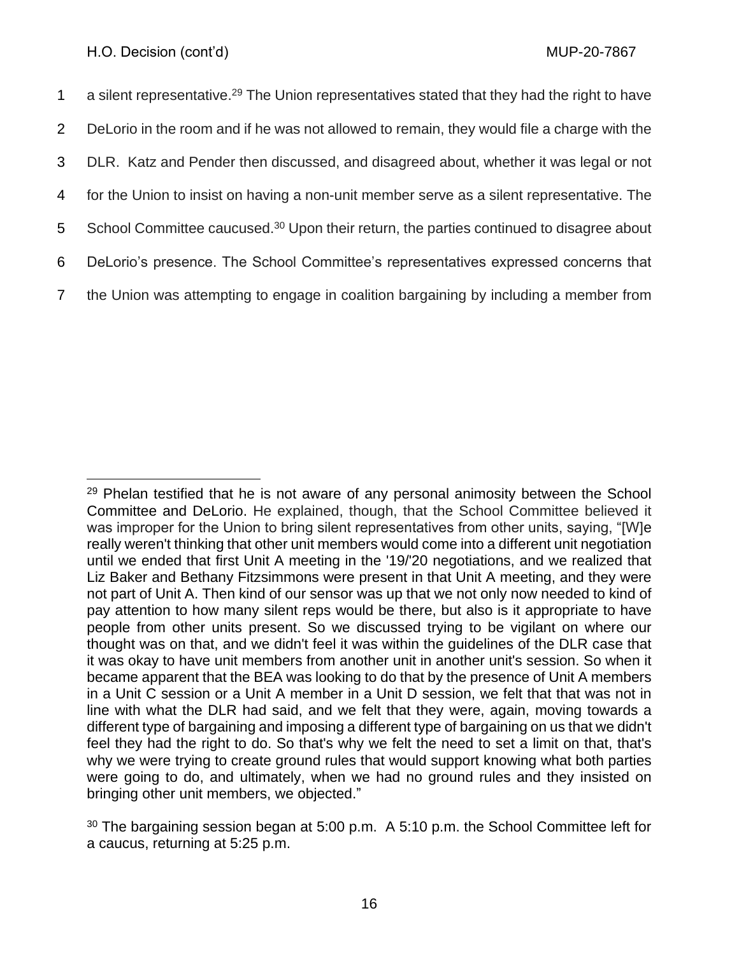1 a silent representative.<sup>29</sup> The Union representatives stated that they had the right to have DeLorio in the room and if he was not allowed to remain, they would file a charge with the DLR. Katz and Pender then discussed, and disagreed about, whether it was legal or not for the Union to insist on having a non-unit member serve as a silent representative. The 5 School Committee caucused.<sup>30</sup> Upon their return, the parties continued to disagree about DeLorio's presence. The School Committee's representatives expressed concerns that the Union was attempting to engage in coalition bargaining by including a member from

 $29$  Phelan testified that he is not aware of any personal animosity between the School Committee and DeLorio. He explained, though, that the School Committee believed it was improper for the Union to bring silent representatives from other units, saying, "[W]e really weren't thinking that other unit members would come into a different unit negotiation until we ended that first Unit A meeting in the '19/'20 negotiations, and we realized that Liz Baker and Bethany Fitzsimmons were present in that Unit A meeting, and they were not part of Unit A. Then kind of our sensor was up that we not only now needed to kind of pay attention to how many silent reps would be there, but also is it appropriate to have people from other units present. So we discussed trying to be vigilant on where our thought was on that, and we didn't feel it was within the guidelines of the DLR case that it was okay to have unit members from another unit in another unit's session. So when it became apparent that the BEA was looking to do that by the presence of Unit A members in a Unit C session or a Unit A member in a Unit D session, we felt that that was not in line with what the DLR had said, and we felt that they were, again, moving towards a different type of bargaining and imposing a different type of bargaining on us that we didn't feel they had the right to do. So that's why we felt the need to set a limit on that, that's why we were trying to create ground rules that would support knowing what both parties were going to do, and ultimately, when we had no ground rules and they insisted on bringing other unit members, we objected."

 $30$  The bargaining session began at 5:00 p.m. A 5:10 p.m. the School Committee left for a caucus, returning at 5:25 p.m.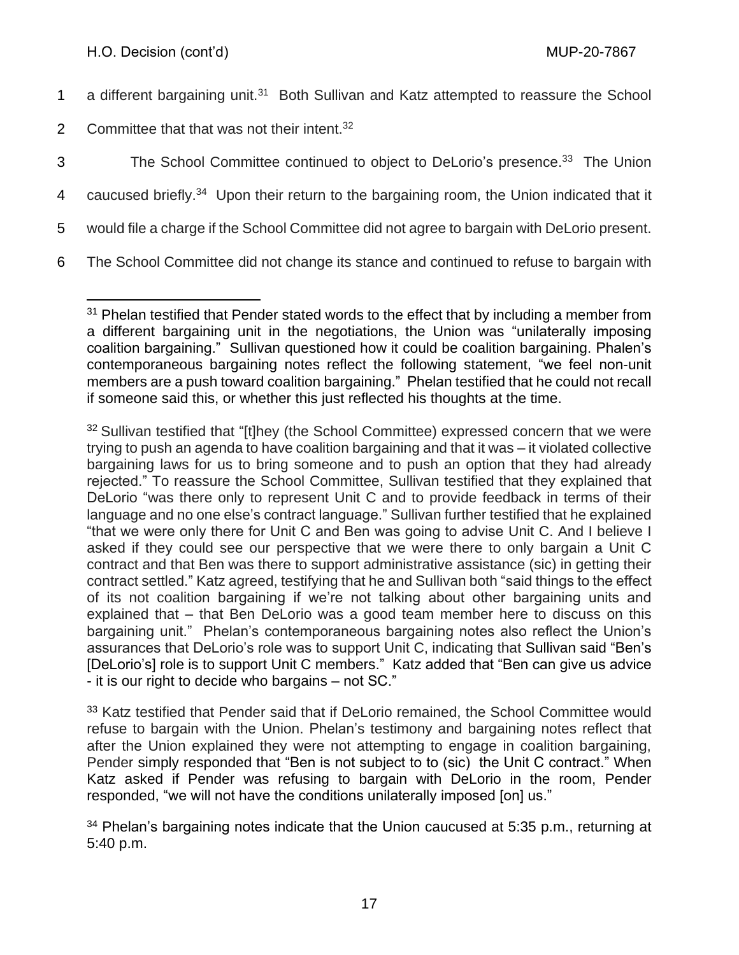- 1 a different bargaining unit.<sup>31</sup> Both Sullivan and Katz attempted to reassure the School
- 2 Committee that that was not their intent. $32$
- 3 The School Committee continued to object to DeLorio's presence.<sup>33</sup> The Union
- 4 caucused briefly.<sup>34</sup> Upon their return to the bargaining room, the Union indicated that it

5 would file a charge if the School Committee did not agree to bargain with DeLorio present.

6 The School Committee did not change its stance and continued to refuse to bargain with

 $31$  Phelan testified that Pender stated words to the effect that by including a member from a different bargaining unit in the negotiations, the Union was "unilaterally imposing coalition bargaining." Sullivan questioned how it could be coalition bargaining. Phalen's contemporaneous bargaining notes reflect the following statement, "we feel non-unit members are a push toward coalition bargaining." Phelan testified that he could not recall if someone said this, or whether this just reflected his thoughts at the time.

<sup>&</sup>lt;sup>32</sup> Sullivan testified that "[t]hey (the School Committee) expressed concern that we were trying to push an agenda to have coalition bargaining and that it was – it violated collective bargaining laws for us to bring someone and to push an option that they had already rejected." To reassure the School Committee, Sullivan testified that they explained that DeLorio "was there only to represent Unit C and to provide feedback in terms of their language and no one else's contract language." Sullivan further testified that he explained "that we were only there for Unit C and Ben was going to advise Unit C. And I believe I asked if they could see our perspective that we were there to only bargain a Unit C contract and that Ben was there to support administrative assistance (sic) in getting their contract settled." Katz agreed, testifying that he and Sullivan both "said things to the effect of its not coalition bargaining if we're not talking about other bargaining units and explained that – that Ben DeLorio was a good team member here to discuss on this bargaining unit." Phelan's contemporaneous bargaining notes also reflect the Union's assurances that DeLorio's role was to support Unit C, indicating that Sullivan said "Ben's [DeLorio's] role is to support Unit C members." Katz added that "Ben can give us advice - it is our right to decide who bargains – not SC."

<sup>&</sup>lt;sup>33</sup> Katz testified that Pender said that if DeLorio remained, the School Committee would refuse to bargain with the Union. Phelan's testimony and bargaining notes reflect that after the Union explained they were not attempting to engage in coalition bargaining, Pender simply responded that "Ben is not subject to to (sic) the Unit C contract." When Katz asked if Pender was refusing to bargain with DeLorio in the room, Pender responded, "we will not have the conditions unilaterally imposed [on] us."

 $34$  Phelan's bargaining notes indicate that the Union caucused at 5:35 p.m., returning at 5:40 p.m.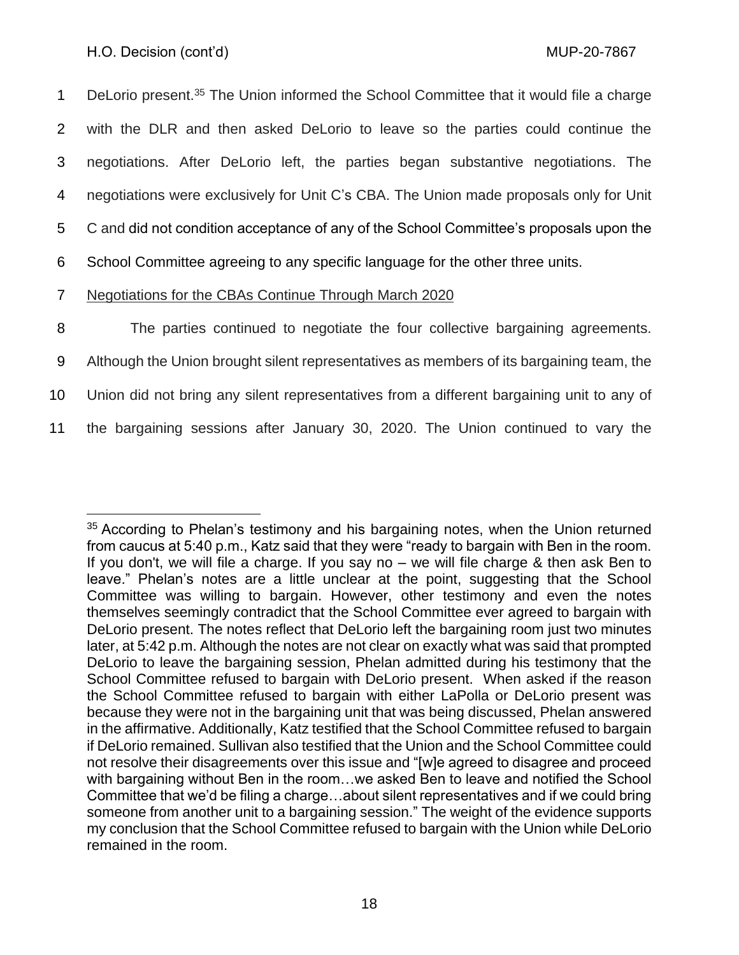1 DeLorio present.<sup>35</sup> The Union informed the School Committee that it would file a charge with the DLR and then asked DeLorio to leave so the parties could continue the negotiations. After DeLorio left, the parties began substantive negotiations. The negotiations were exclusively for Unit C's CBA. The Union made proposals only for Unit C and did not condition acceptance of any of the School Committee's proposals upon the School Committee agreeing to any specific language for the other three units.

7 Negotiations for the CBAs Continue Through March 2020

8 The parties continued to negotiate the four collective bargaining agreements.

9 Although the Union brought silent representatives as members of its bargaining team, the

10 Union did not bring any silent representatives from a different bargaining unit to any of

11 the bargaining sessions after January 30, 2020. The Union continued to vary the

<sup>&</sup>lt;sup>35</sup> According to Phelan's testimony and his bargaining notes, when the Union returned from caucus at 5:40 p.m., Katz said that they were "ready to bargain with Ben in the room. If you don't, we will file a charge. If you say no – we will file charge & then ask Ben to leave." Phelan's notes are a little unclear at the point, suggesting that the School Committee was willing to bargain. However, other testimony and even the notes themselves seemingly contradict that the School Committee ever agreed to bargain with DeLorio present. The notes reflect that DeLorio left the bargaining room just two minutes later, at 5:42 p.m. Although the notes are not clear on exactly what was said that prompted DeLorio to leave the bargaining session, Phelan admitted during his testimony that the School Committee refused to bargain with DeLorio present. When asked if the reason the School Committee refused to bargain with either LaPolla or DeLorio present was because they were not in the bargaining unit that was being discussed, Phelan answered in the affirmative. Additionally, Katz testified that the School Committee refused to bargain if DeLorio remained. Sullivan also testified that the Union and the School Committee could not resolve their disagreements over this issue and "[w]e agreed to disagree and proceed with bargaining without Ben in the room…we asked Ben to leave and notified the School Committee that we'd be filing a charge…about silent representatives and if we could bring someone from another unit to a bargaining session." The weight of the evidence supports my conclusion that the School Committee refused to bargain with the Union while DeLorio remained in the room.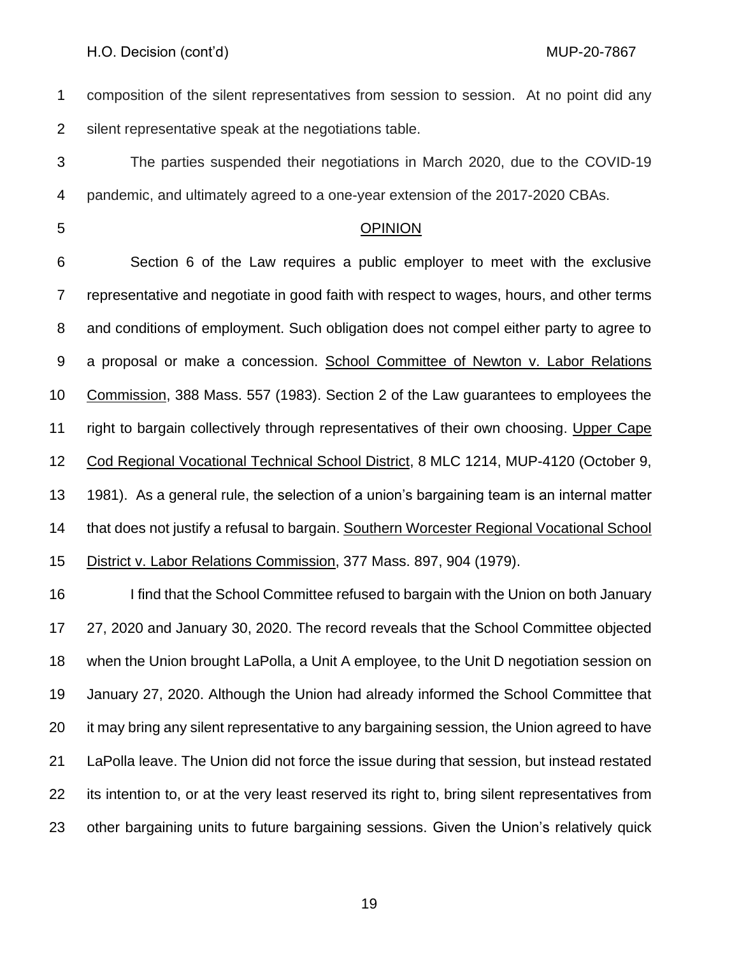composition of the silent representatives from session to session. At no point did any silent representative speak at the negotiations table.

- The parties suspended their negotiations in March 2020, due to the COVID-19 pandemic, and ultimately agreed to a one-year extension of the 2017-2020 CBAs.
- 

## OPINION

 Section 6 of the Law requires a public employer to meet with the exclusive representative and negotiate in good faith with respect to wages, hours, and other terms and conditions of employment. Such obligation does not compel either party to agree to a proposal or make a concession. School Committee of Newton v. Labor Relations Commission, 388 Mass. 557 (1983). Section 2 of the Law guarantees to employees the right to bargain collectively through representatives of their own choosing. Upper Cape Cod Regional Vocational Technical School District, 8 MLC 1214, MUP-4120 (October 9, 1981). As a general rule, the selection of a union's bargaining team is an internal matter that does not justify a refusal to bargain. Southern Worcester Regional Vocational School District v. Labor Relations Commission, 377 Mass. 897, 904 (1979).

 I find that the School Committee refused to bargain with the Union on both January 27, 2020 and January 30, 2020. The record reveals that the School Committee objected when the Union brought LaPolla, a Unit A employee, to the Unit D negotiation session on January 27, 2020. Although the Union had already informed the School Committee that it may bring any silent representative to any bargaining session, the Union agreed to have LaPolla leave. The Union did not force the issue during that session, but instead restated its intention to, or at the very least reserved its right to, bring silent representatives from other bargaining units to future bargaining sessions. Given the Union's relatively quick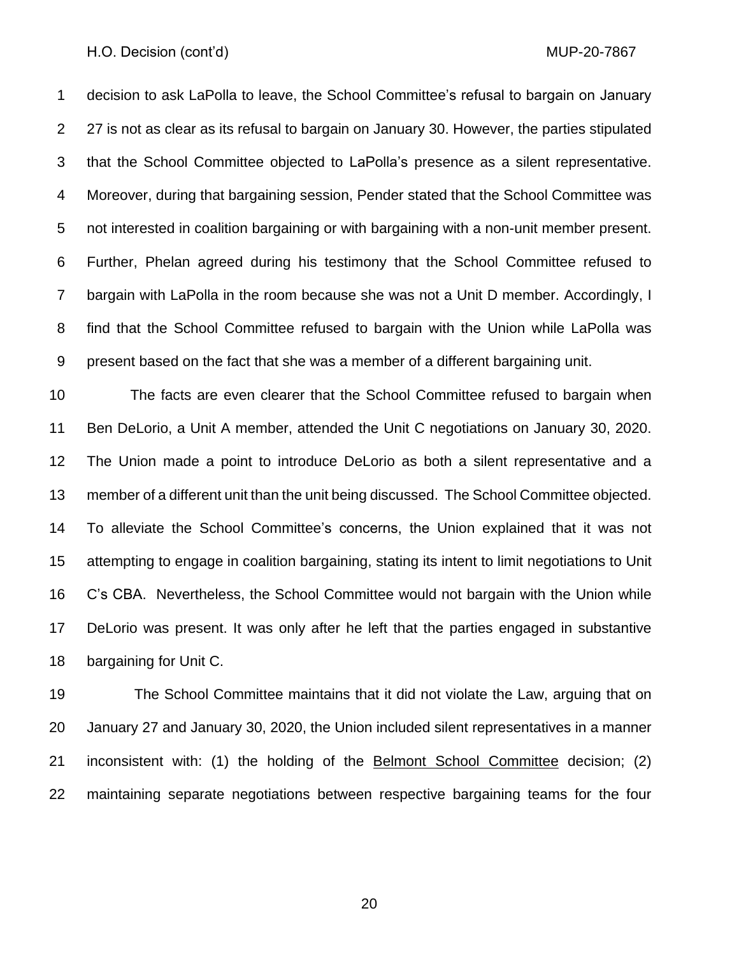decision to ask LaPolla to leave, the School Committee's refusal to bargain on January 2 27 is not as clear as its refusal to bargain on January 30. However, the parties stipulated that the School Committee objected to LaPolla's presence as a silent representative. Moreover, during that bargaining session, Pender stated that the School Committee was not interested in coalition bargaining or with bargaining with a non-unit member present. Further, Phelan agreed during his testimony that the School Committee refused to bargain with LaPolla in the room because she was not a Unit D member. Accordingly, I find that the School Committee refused to bargain with the Union while LaPolla was present based on the fact that she was a member of a different bargaining unit.

 The facts are even clearer that the School Committee refused to bargain when Ben DeLorio, a Unit A member, attended the Unit C negotiations on January 30, 2020. The Union made a point to introduce DeLorio as both a silent representative and a member of a different unit than the unit being discussed. The School Committee objected. To alleviate the School Committee's concerns, the Union explained that it was not attempting to engage in coalition bargaining, stating its intent to limit negotiations to Unit C's CBA. Nevertheless, the School Committee would not bargain with the Union while DeLorio was present. It was only after he left that the parties engaged in substantive bargaining for Unit C.

 The School Committee maintains that it did not violate the Law, arguing that on January 27 and January 30, 2020, the Union included silent representatives in a manner 21 inconsistent with: (1) the holding of the **Belmont School Committee** decision; (2) maintaining separate negotiations between respective bargaining teams for the four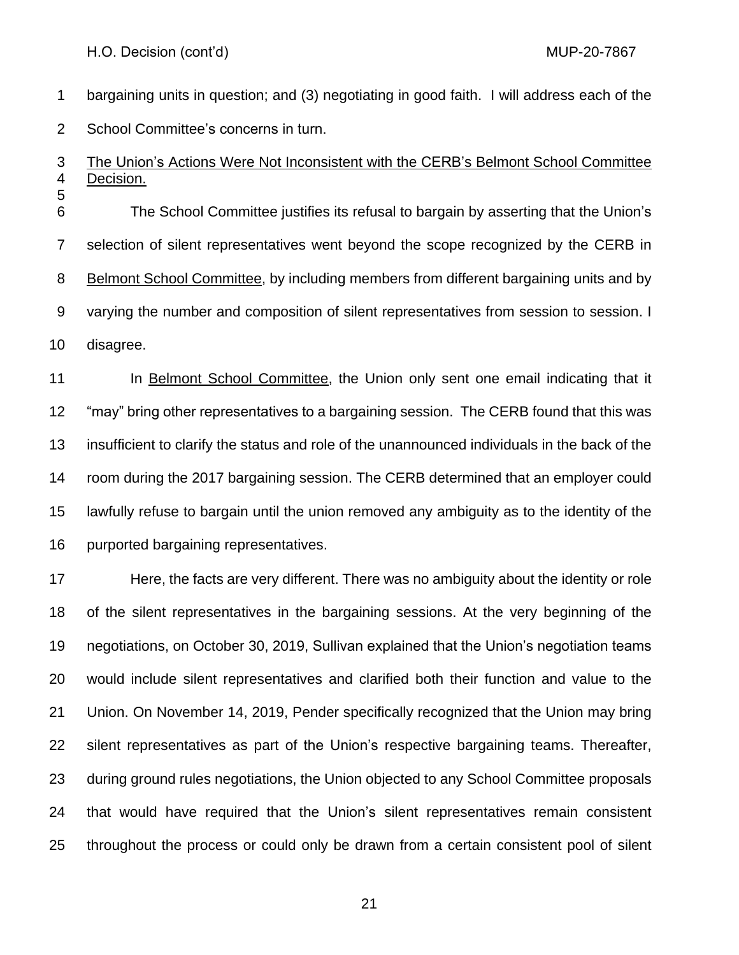bargaining units in question; and (3) negotiating in good faith. I will address each of the School Committee's concerns in turn.

#### The Union's Actions Were Not Inconsistent with the CERB's Belmont School Committee Decision.

 The School Committee justifies its refusal to bargain by asserting that the Union's selection of silent representatives went beyond the scope recognized by the CERB in 8 Belmont School Committee, by including members from different bargaining units and by varying the number and composition of silent representatives from session to session. I disagree.

11 In Belmont School Committee, the Union only sent one email indicating that it "may" bring other representatives to a bargaining session. The CERB found that this was insufficient to clarify the status and role of the unannounced individuals in the back of the room during the 2017 bargaining session. The CERB determined that an employer could lawfully refuse to bargain until the union removed any ambiguity as to the identity of the purported bargaining representatives.

 Here, the facts are very different. There was no ambiguity about the identity or role of the silent representatives in the bargaining sessions. At the very beginning of the negotiations, on October 30, 2019, Sullivan explained that the Union's negotiation teams would include silent representatives and clarified both their function and value to the Union. On November 14, 2019, Pender specifically recognized that the Union may bring silent representatives as part of the Union's respective bargaining teams. Thereafter, during ground rules negotiations, the Union objected to any School Committee proposals that would have required that the Union's silent representatives remain consistent throughout the process or could only be drawn from a certain consistent pool of silent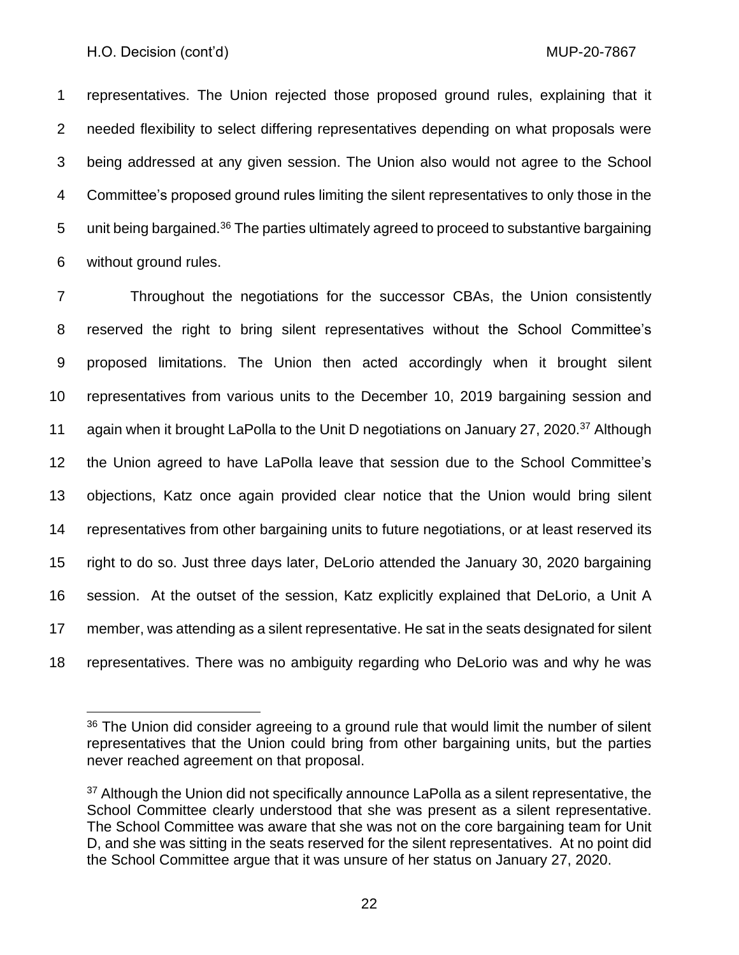representatives. The Union rejected those proposed ground rules, explaining that it needed flexibility to select differing representatives depending on what proposals were being addressed at any given session. The Union also would not agree to the School Committee's proposed ground rules limiting the silent representatives to only those in the 5 unit being bargained.<sup>36</sup> The parties ultimately agreed to proceed to substantive bargaining without ground rules.

 Throughout the negotiations for the successor CBAs, the Union consistently reserved the right to bring silent representatives without the School Committee's proposed limitations. The Union then acted accordingly when it brought silent representatives from various units to the December 10, 2019 bargaining session and 11 again when it brought LaPolla to the Unit D negotiations on January 27, 2020.<sup>37</sup> Although the Union agreed to have LaPolla leave that session due to the School Committee's objections, Katz once again provided clear notice that the Union would bring silent representatives from other bargaining units to future negotiations, or at least reserved its right to do so. Just three days later, DeLorio attended the January 30, 2020 bargaining session. At the outset of the session, Katz explicitly explained that DeLorio, a Unit A member, was attending as a silent representative. He sat in the seats designated for silent representatives. There was no ambiguity regarding who DeLorio was and why he was

 The Union did consider agreeing to a ground rule that would limit the number of silent representatives that the Union could bring from other bargaining units, but the parties never reached agreement on that proposal.

<sup>&</sup>lt;sup>37</sup> Although the Union did not specifically announce LaPolla as a silent representative, the School Committee clearly understood that she was present as a silent representative. The School Committee was aware that she was not on the core bargaining team for Unit D, and she was sitting in the seats reserved for the silent representatives. At no point did the School Committee argue that it was unsure of her status on January 27, 2020.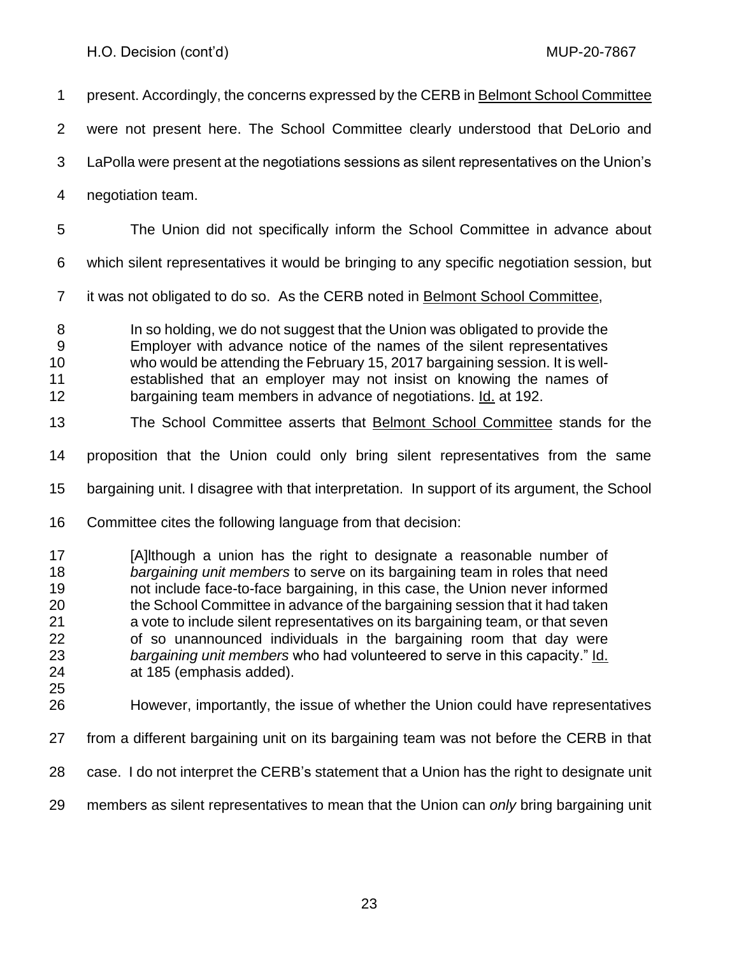| 1                                                  | present. Accordingly, the concerns expressed by the CERB in Belmont School Committee                                                                                                                                                                                                                                                                                                                                                                                                                                                                                                |
|----------------------------------------------------|-------------------------------------------------------------------------------------------------------------------------------------------------------------------------------------------------------------------------------------------------------------------------------------------------------------------------------------------------------------------------------------------------------------------------------------------------------------------------------------------------------------------------------------------------------------------------------------|
| 2                                                  | were not present here. The School Committee clearly understood that DeLorio and                                                                                                                                                                                                                                                                                                                                                                                                                                                                                                     |
| 3                                                  | LaPolla were present at the negotiations sessions as silent representatives on the Union's                                                                                                                                                                                                                                                                                                                                                                                                                                                                                          |
| 4                                                  | negotiation team.                                                                                                                                                                                                                                                                                                                                                                                                                                                                                                                                                                   |
| 5                                                  | The Union did not specifically inform the School Committee in advance about                                                                                                                                                                                                                                                                                                                                                                                                                                                                                                         |
| 6                                                  | which silent representatives it would be bringing to any specific negotiation session, but                                                                                                                                                                                                                                                                                                                                                                                                                                                                                          |
| $\overline{7}$                                     | it was not obligated to do so. As the CERB noted in <b>Belmont School Committee</b> ,                                                                                                                                                                                                                                                                                                                                                                                                                                                                                               |
| 8<br>9<br>10<br>11<br>12                           | In so holding, we do not suggest that the Union was obligated to provide the<br>Employer with advance notice of the names of the silent representatives<br>who would be attending the February 15, 2017 bargaining session. It is well-<br>established that an employer may not insist on knowing the names of<br>bargaining team members in advance of negotiations. Id. at 192.                                                                                                                                                                                                   |
| 13                                                 | The School Committee asserts that <b>Belmont School Committee</b> stands for the                                                                                                                                                                                                                                                                                                                                                                                                                                                                                                    |
| 14                                                 | proposition that the Union could only bring silent representatives from the same                                                                                                                                                                                                                                                                                                                                                                                                                                                                                                    |
| 15                                                 | bargaining unit. I disagree with that interpretation. In support of its argument, the School                                                                                                                                                                                                                                                                                                                                                                                                                                                                                        |
| 16                                                 | Committee cites the following language from that decision:                                                                                                                                                                                                                                                                                                                                                                                                                                                                                                                          |
| 17<br>18<br>19<br>20<br>21<br>22<br>23<br>24<br>25 | [A]Ithough a union has the right to designate a reasonable number of<br>bargaining unit members to serve on its bargaining team in roles that need<br>not include face-to-face bargaining, in this case, the Union never informed<br>the School Committee in advance of the bargaining session that it had taken<br>a vote to include silent representatives on its bargaining team, or that seven<br>of so unannounced individuals in the bargaining room that day were<br>bargaining unit members who had volunteered to serve in this capacity." Id.<br>at 185 (emphasis added). |
| 26                                                 | However, importantly, the issue of whether the Union could have representatives                                                                                                                                                                                                                                                                                                                                                                                                                                                                                                     |
| 27                                                 | from a different bargaining unit on its bargaining team was not before the CERB in that                                                                                                                                                                                                                                                                                                                                                                                                                                                                                             |

- case. I do not interpret the CERB's statement that a Union has the right to designate unit
- members as silent representatives to mean that the Union can *only* bring bargaining unit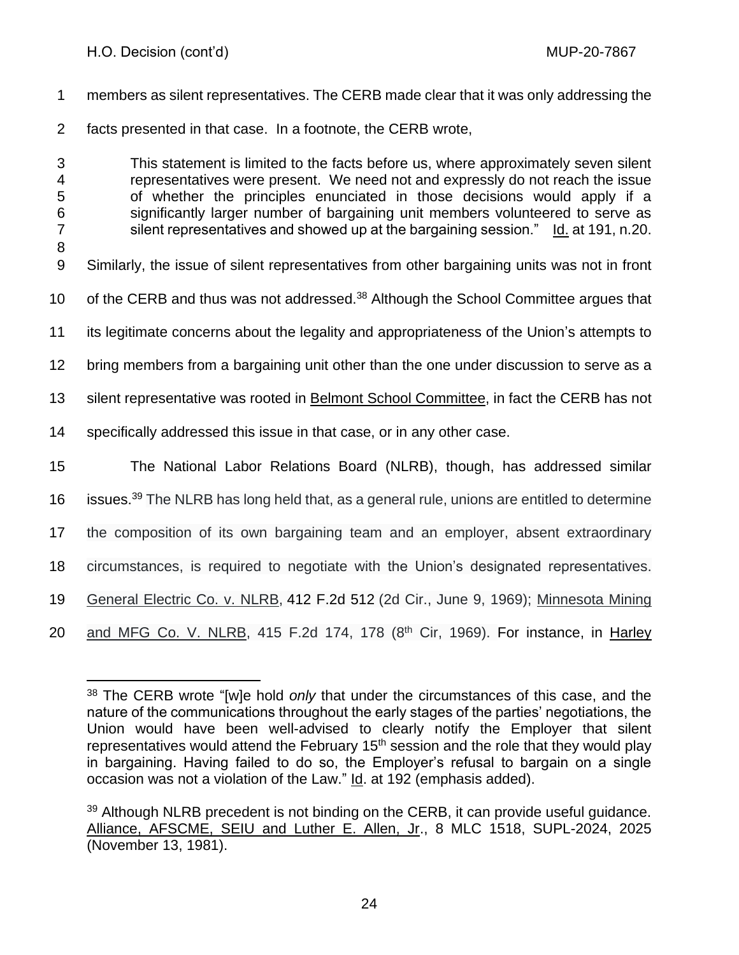members as silent representatives. The CERB made clear that it was only addressing the facts presented in that case. In a footnote, the CERB wrote, This statement is limited to the facts before us, where approximately seven silent representatives were present. We need not and expressly do not reach the issue of whether the principles enunciated in those decisions would apply if a significantly larger number of bargaining unit members volunteered to serve as silent representatives and showed up at the bargaining session." Id. at 191, n.20. Similarly, the issue of silent representatives from other bargaining units was not in front 10 of the CERB and thus was not addressed.<sup>38</sup> Although the School Committee argues that its legitimate concerns about the legality and appropriateness of the Union's attempts to bring members from a bargaining unit other than the one under discussion to serve as a silent representative was rooted in Belmont School Committee, in fact the CERB has not specifically addressed this issue in that case, or in any other case. The National Labor Relations Board (NLRB), though, has addressed similar 16 issues.<sup>39</sup> The NLRB has long held that, as a general rule, unions are entitled to determine the composition of its own bargaining team and an employer, absent extraordinary circumstances, is required to negotiate with the Union's designated representatives. General Electric Co. v. NLRB, [412 F.2d 512](https://casetext.com/case/general-electric-company-v-nlrb-2) (2d Cir., June 9, 1969); Minnesota Mining 20 and MFG Co. V. NLRB, 415 F.2d 174, 178  $(8<sup>th</sup>$  Cir, 1969). For instance, in Harley

 The CERB wrote "[w]e hold *only* that under the circumstances of this case, and the nature of the communications throughout the early stages of the parties' negotiations, the Union would have been well-advised to clearly notify the Employer that silent representatives would attend the February  $15<sup>th</sup>$  session and the role that they would play in bargaining. Having failed to do so, the Employer's refusal to bargain on a single occasion was not a violation of the Law." Id. at 192 (emphasis added).

<sup>&</sup>lt;sup>39</sup> Although NLRB precedent is not binding on the CERB, it can provide useful guidance. Alliance, AFSCME, SEIU and Luther E. Allen, Jr., 8 MLC 1518, SUPL-2024, 2025 (November 13, 1981).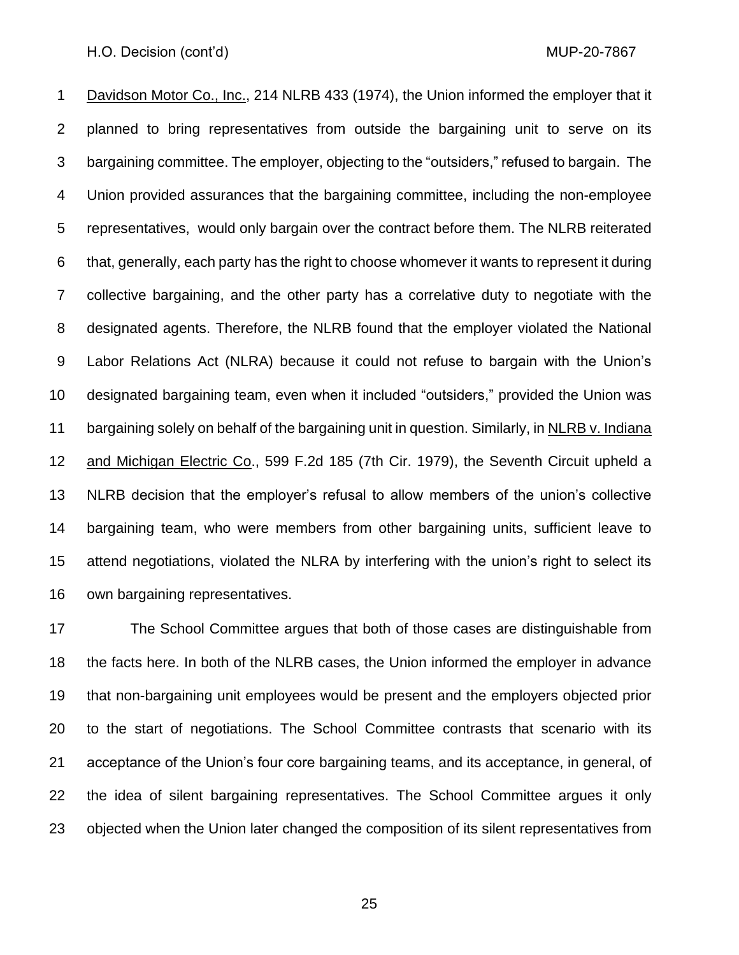Davidson Motor Co., Inc., 214 NLRB 433 (1974), the Union informed the employer that it planned to bring representatives from outside the bargaining unit to serve on its bargaining committee. The employer, objecting to the "outsiders," refused to bargain. The Union provided assurances that the bargaining committee, including the non-employee representatives, would only bargain over the contract before them. The NLRB reiterated that, generally, each party has the right to choose whomever it wants to represent it during collective bargaining, and the other party has a correlative duty to negotiate with the designated agents. Therefore, the NLRB found that the employer violated the National Labor Relations Act (NLRA) because it could not refuse to bargain with the Union's designated bargaining team, even when it included "outsiders," provided the Union was bargaining solely on behalf of the bargaining unit in question. Similarly, in NLRB v. Indiana and Michigan Electric Co., 599 F.2d 185 (7th Cir. 1979), the Seventh Circuit upheld a NLRB decision that the employer's refusal to allow members of the union's collective bargaining team, who were members from other bargaining units, sufficient leave to attend negotiations, violated the NLRA by interfering with the union's right to select its own bargaining representatives.

 The School Committee argues that both of those cases are distinguishable from the facts here. In both of the NLRB cases, the Union informed the employer in advance that non-bargaining unit employees would be present and the employers objected prior to the start of negotiations. The School Committee contrasts that scenario with its acceptance of the Union's four core bargaining teams, and its acceptance, in general, of the idea of silent bargaining representatives. The School Committee argues it only objected when the Union later changed the composition of its silent representatives from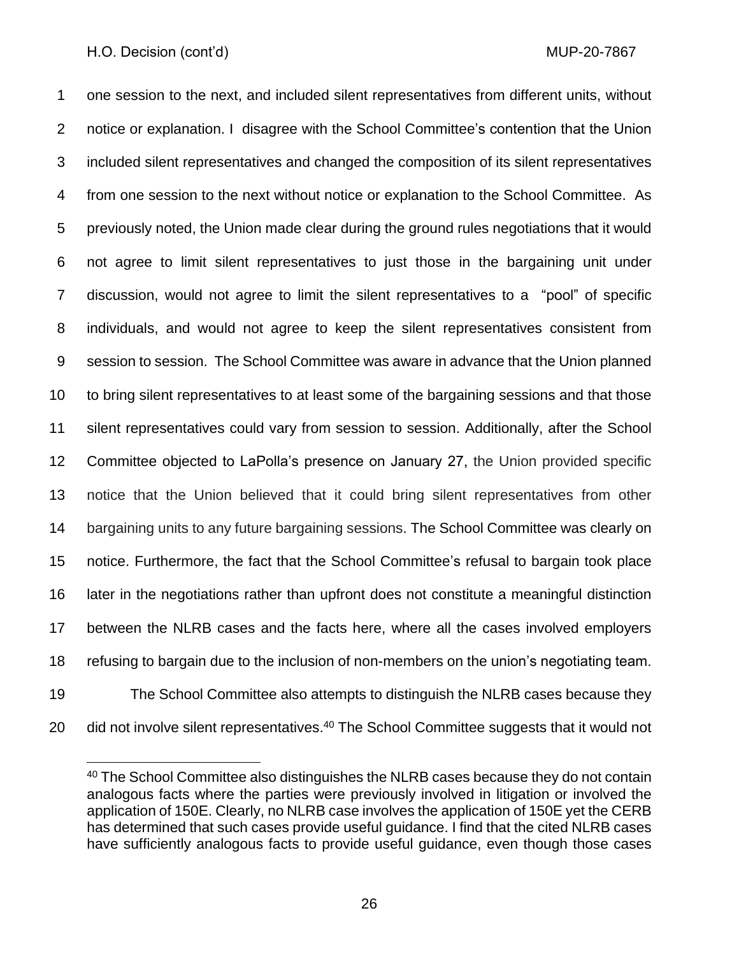one session to the next, and included silent representatives from different units, without notice or explanation. I disagree with the School Committee's contention that the Union included silent representatives and changed the composition of its silent representatives from one session to the next without notice or explanation to the School Committee. As previously noted, the Union made clear during the ground rules negotiations that it would not agree to limit silent representatives to just those in the bargaining unit under discussion, would not agree to limit the silent representatives to a "pool" of specific individuals, and would not agree to keep the silent representatives consistent from session to session. The School Committee was aware in advance that the Union planned to bring silent representatives to at least some of the bargaining sessions and that those silent representatives could vary from session to session. Additionally, after the School Committee objected to LaPolla's presence on January 27, the Union provided specific notice that the Union believed that it could bring silent representatives from other bargaining units to any future bargaining sessions. The School Committee was clearly on notice. Furthermore, the fact that the School Committee's refusal to bargain took place later in the negotiations rather than upfront does not constitute a meaningful distinction between the NLRB cases and the facts here, where all the cases involved employers refusing to bargain due to the inclusion of non-members on the union's negotiating team. The School Committee also attempts to distinguish the NLRB cases because they 20 did not involve silent representatives.<sup>40</sup> The School Committee suggests that it would not

<sup>&</sup>lt;sup>40</sup> The School Committee also distinguishes the NLRB cases because they do not contain analogous facts where the parties were previously involved in litigation or involved the application of 150E. Clearly, no NLRB case involves the application of 150E yet the CERB has determined that such cases provide useful guidance. I find that the cited NLRB cases have sufficiently analogous facts to provide useful guidance, even though those cases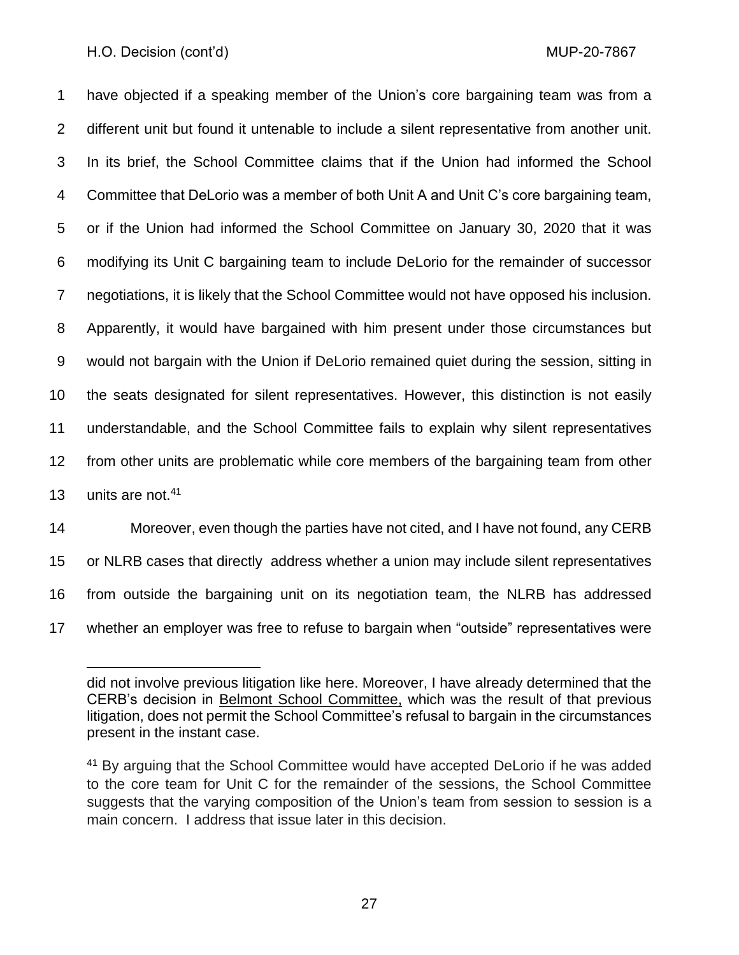have objected if a speaking member of the Union's core bargaining team was from a different unit but found it untenable to include a silent representative from another unit. In its brief, the School Committee claims that if the Union had informed the School Committee that DeLorio was a member of both Unit A and Unit C's core bargaining team, or if the Union had informed the School Committee on January 30, 2020 that it was modifying its Unit C bargaining team to include DeLorio for the remainder of successor negotiations, it is likely that the School Committee would not have opposed his inclusion. Apparently, it would have bargained with him present under those circumstances but would not bargain with the Union if DeLorio remained quiet during the session, sitting in the seats designated for silent representatives. However, this distinction is not easily understandable, and the School Committee fails to explain why silent representatives from other units are problematic while core members of the bargaining team from other 13 units are not.

 Moreover, even though the parties have not cited, and I have not found, any CERB or NLRB cases that directly address whether a union may include silent representatives from outside the bargaining unit on its negotiation team, the NLRB has addressed whether an employer was free to refuse to bargain when "outside" representatives were

did not involve previous litigation like here. Moreover, I have already determined that the CERB's decision in Belmont School Committee, which was the result of that previous litigation, does not permit the School Committee's refusal to bargain in the circumstances present in the instant case.

<sup>&</sup>lt;sup>41</sup> By arguing that the School Committee would have accepted DeLorio if he was added to the core team for Unit C for the remainder of the sessions, the School Committee suggests that the varying composition of the Union's team from session to session is a main concern. I address that issue later in this decision.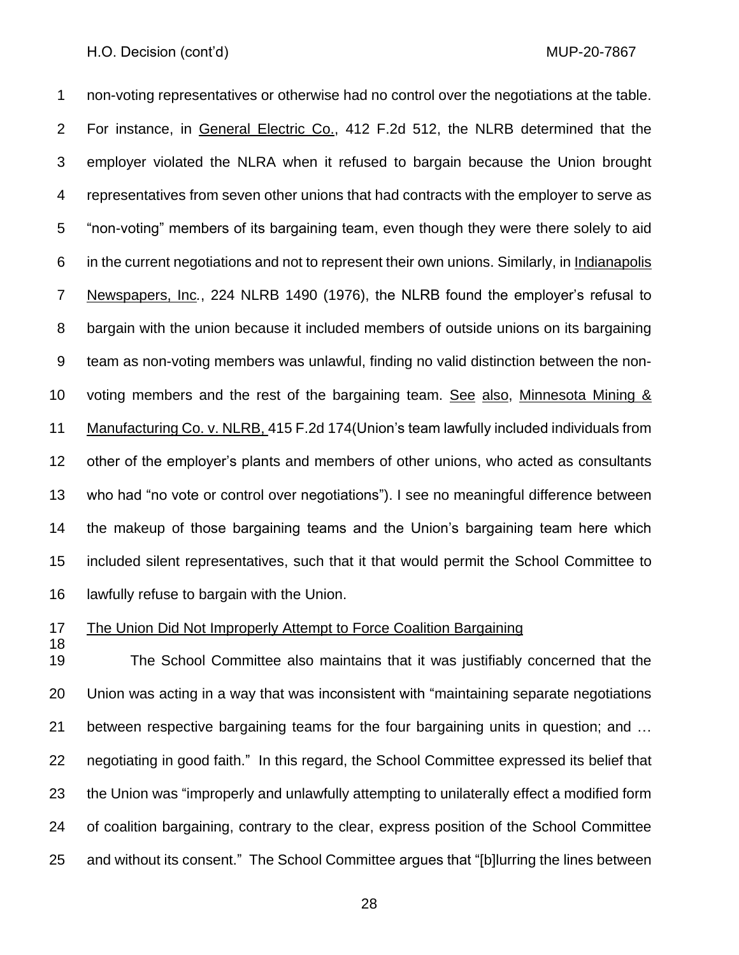non-voting representatives or otherwise had no control over the negotiations at the table. For instance, in General Electric Co., 412 F.2d 512, the NLRB determined that the employer violated the NLRA when it refused to bargain because the Union brought representatives from seven other unions that had contracts with the employer to serve as "non-voting" members of its bargaining team, even though they were there solely to aid in the current negotiations and not to represent their own unions. Similarly, in Indianapolis Newspapers, Inc*.*, 224 NLRB 1490 (1976), the NLRB found the employer's refusal to bargain with the union because it included members of outside unions on its bargaining team as non-voting members was unlawful, finding no valid distinction between the non- voting members and the rest of the bargaining team. See also, Minnesota Mining & Manufacturing Co. v. NLRB, 415 F.2d 174(Union's team lawfully included individuals from other of the employer's plants and members of other unions, who acted as consultants who had "no vote or control over negotiations"). I see no meaningful difference between the makeup of those bargaining teams and the Union's bargaining team here which included silent representatives, such that it that would permit the School Committee to lawfully refuse to bargain with the Union.

## The Union Did Not Improperly Attempt to Force Coalition Bargaining

 The School Committee also maintains that it was justifiably concerned that the Union was acting in a way that was inconsistent with "maintaining separate negotiations between respective bargaining teams for the four bargaining units in question; and … negotiating in good faith." In this regard, the School Committee expressed its belief that the Union was "improperly and unlawfully attempting to unilaterally effect a modified form of coalition bargaining, contrary to the clear, express position of the School Committee and without its consent." The School Committee argues that "[b]lurring the lines between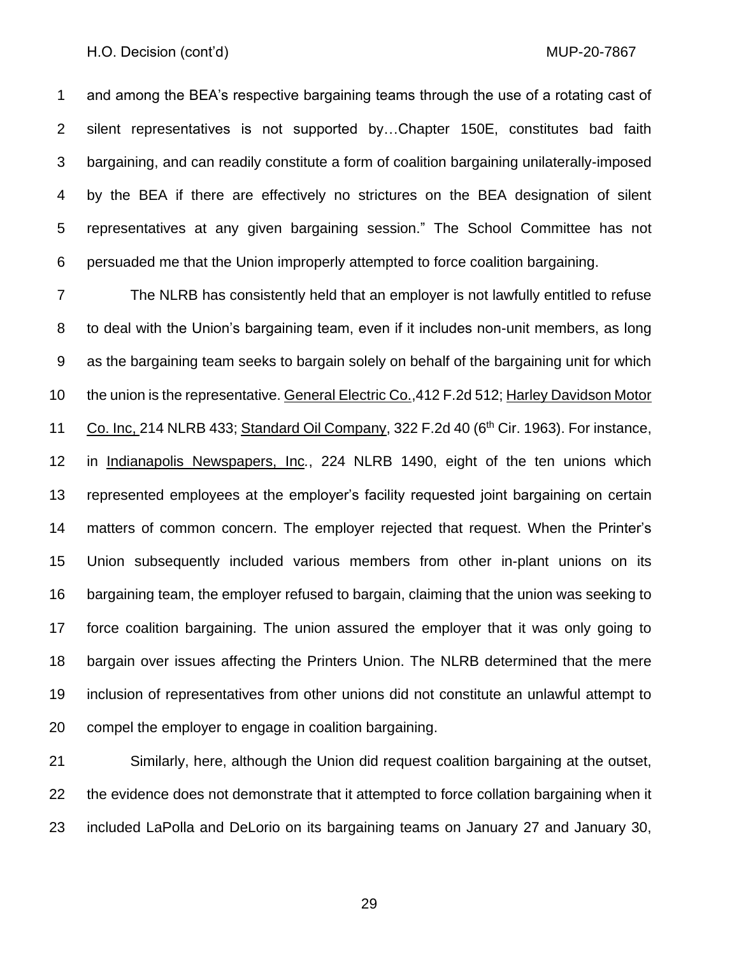and among the BEA's respective bargaining teams through the use of a rotating cast of silent representatives is not supported by…Chapter 150E, constitutes bad faith bargaining, and can readily constitute a form of coalition bargaining unilaterally-imposed by the BEA if there are effectively no strictures on the BEA designation of silent representatives at any given bargaining session." The School Committee has not persuaded me that the Union improperly attempted to force coalition bargaining.

 The NLRB has consistently held that an employer is not lawfully entitled to refuse to deal with the Union's bargaining team, even if it includes non-unit members, as long as the bargaining team seeks to bargain solely on behalf of the bargaining unit for which the union is the representative. General Electric Co.,412 F.2d 512; Harley Davidson Motor 11 Co. Inc, 214 NLRB 433; Standard Oil Company, 322 F.2d 40 ( $6<sup>th</sup>$  Cir. 1963). For instance, in Indianapolis Newspapers, Inc*.*, 224 NLRB 1490, eight of the ten unions which represented employees at the employer's facility requested joint bargaining on certain matters of common concern. The employer rejected that request. When the Printer's Union subsequently included various members from other in-plant unions on its bargaining team, the employer refused to bargain, claiming that the union was seeking to force coalition bargaining. The union assured the employer that it was only going to bargain over issues affecting the Printers Union. The NLRB determined that the mere inclusion of representatives from other unions did not constitute an unlawful attempt to compel the employer to engage in coalition bargaining.

 Similarly, here, although the Union did request coalition bargaining at the outset, the evidence does not demonstrate that it attempted to force collation bargaining when it included LaPolla and DeLorio on its bargaining teams on January 27 and January 30,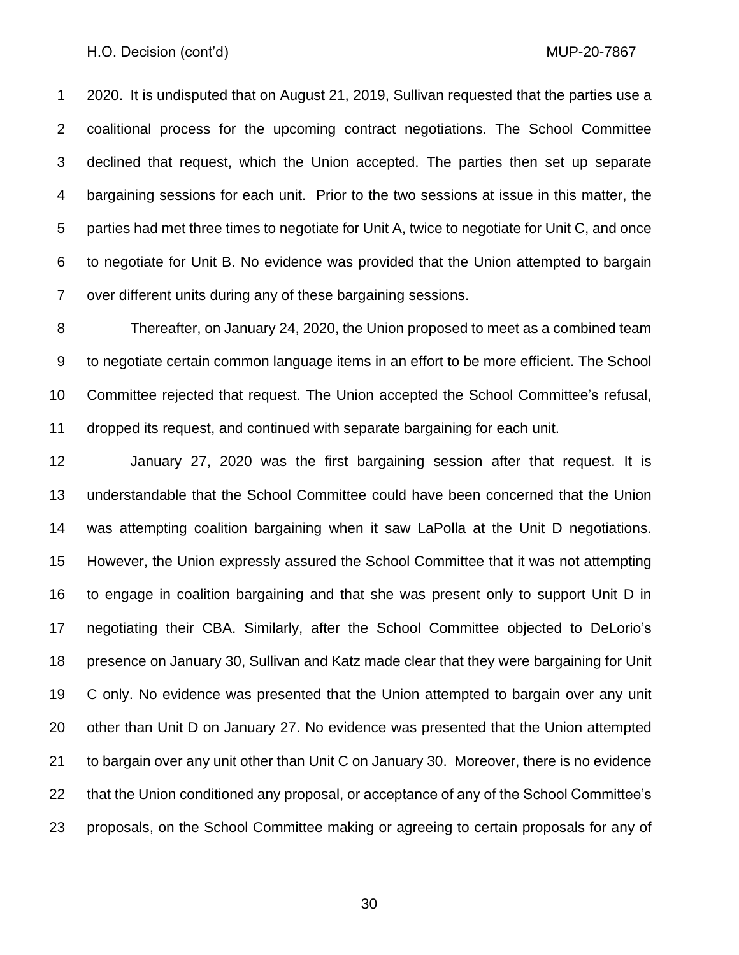2020. It is undisputed that on August 21, 2019, Sullivan requested that the parties use a coalitional process for the upcoming contract negotiations. The School Committee declined that request, which the Union accepted. The parties then set up separate bargaining sessions for each unit. Prior to the two sessions at issue in this matter, the parties had met three times to negotiate for Unit A, twice to negotiate for Unit C, and once to negotiate for Unit B. No evidence was provided that the Union attempted to bargain over different units during any of these bargaining sessions.

 Thereafter, on January 24, 2020, the Union proposed to meet as a combined team to negotiate certain common language items in an effort to be more efficient. The School Committee rejected that request. The Union accepted the School Committee's refusal, dropped its request, and continued with separate bargaining for each unit.

 January 27, 2020 was the first bargaining session after that request. It is understandable that the School Committee could have been concerned that the Union was attempting coalition bargaining when it saw LaPolla at the Unit D negotiations. However, the Union expressly assured the School Committee that it was not attempting to engage in coalition bargaining and that she was present only to support Unit D in negotiating their CBA. Similarly, after the School Committee objected to DeLorio's presence on January 30, Sullivan and Katz made clear that they were bargaining for Unit C only. No evidence was presented that the Union attempted to bargain over any unit other than Unit D on January 27. No evidence was presented that the Union attempted to bargain over any unit other than Unit C on January 30. Moreover, there is no evidence that the Union conditioned any proposal, or acceptance of any of the School Committee's proposals, on the School Committee making or agreeing to certain proposals for any of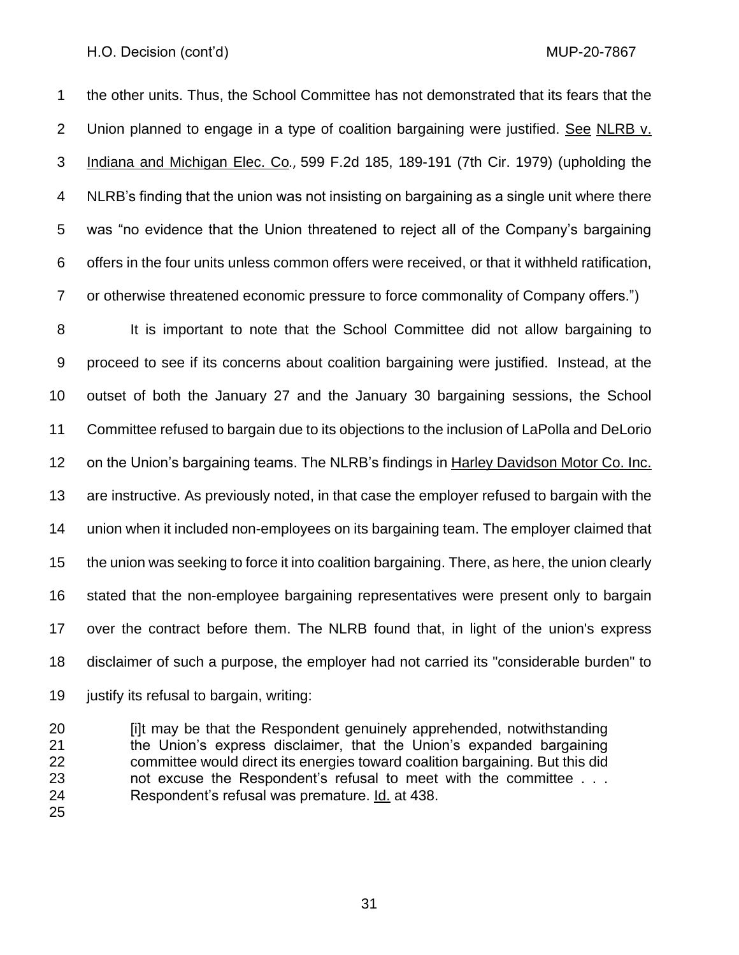the other units. Thus, the School Committee has not demonstrated that its fears that the Union planned to engage in a type of coalition bargaining were justified. See NLRB v. Indiana and Michigan Elec. Co*.*, 599 F.2d 185, 189-191 (7th Cir. 1979) (upholding the NLRB's finding that the union was not insisting on bargaining as a single unit where there was "no evidence that the Union threatened to reject all of the Company's bargaining offers in the four units unless common offers were received, or that it withheld ratification, or otherwise threatened economic pressure to force commonality of Company offers.")

 It is important to note that the School Committee did not allow bargaining to proceed to see if its concerns about coalition bargaining were justified. Instead, at the outset of both the January 27 and the January 30 bargaining sessions, the School Committee refused to bargain due to its objections to the inclusion of LaPolla and DeLorio on the Union's bargaining teams. The NLRB's findings in Harley Davidson Motor Co. Inc. are instructive. As previously noted, in that case the employer refused to bargain with the union when it included non-employees on its bargaining team. The employer claimed that the union was seeking to force it into coalition bargaining. There, as here, the union clearly stated that the non-employee bargaining representatives were present only to bargain over the contract before them. The NLRB found that, in light of the union's express disclaimer of such a purpose, the employer had not carried its "considerable burden" to justify its refusal to bargain, writing:

 [i]t may be that the Respondent genuinely apprehended, notwithstanding the Union's express disclaimer, that the Union's expanded bargaining committee would direct its energies toward coalition bargaining. But this did not excuse the Respondent's refusal to meet with the committee . . . Respondent's refusal was premature. Id. at 438.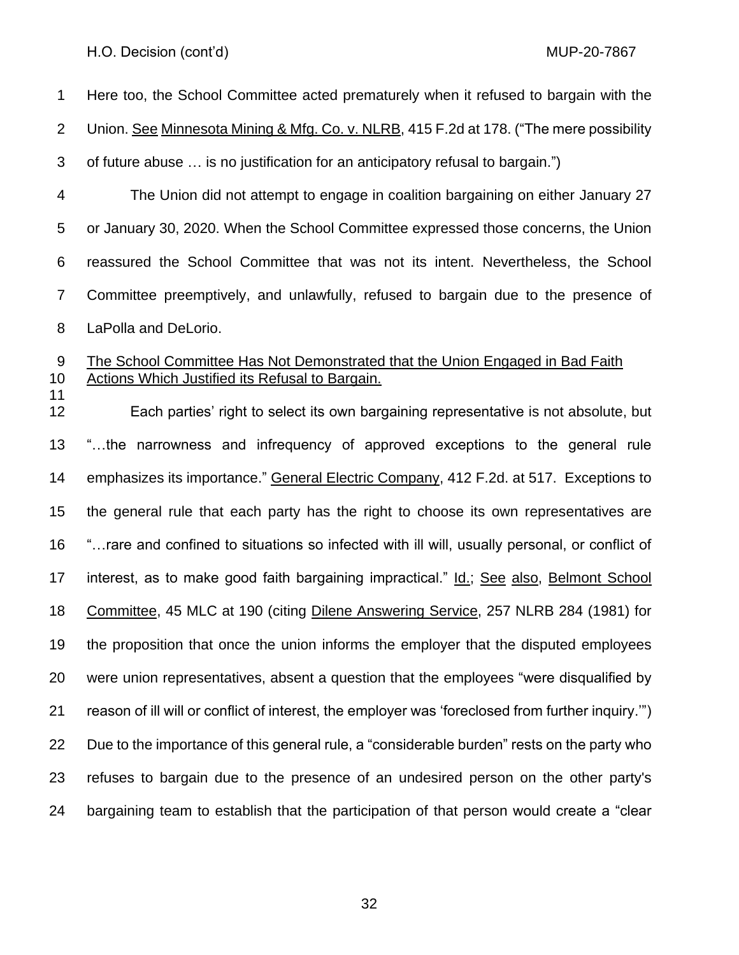Here too, the School Committee acted prematurely when it refused to bargain with the Union. See Minnesota Mining & Mfg. Co. v. NLRB, 415 F.2d at 178. ("The mere possibility of future abuse … is no justification for an anticipatory refusal to bargain.") The Union did not attempt to engage in coalition bargaining on either January 27 or January 30, 2020. When the School Committee expressed those concerns, the Union reassured the School Committee that was not its intent. Nevertheless, the School Committee preemptively, and unlawfully, refused to bargain due to the presence of LaPolla and DeLorio. The School Committee Has Not Demonstrated that the Union Engaged in Bad Faith Actions Which Justified its Refusal to Bargain. Each parties' right to select its own bargaining representative is not absolute, but "…the narrowness and infrequency of approved exceptions to the general rule emphasizes its importance." General Electric Company, 412 F.2d. at 517. Exceptions to the general rule that each party has the right to choose its own representatives are "…rare and confined to situations so infected with ill will, usually personal, or conflict of interest, as to make good faith bargaining impractical." Id.; See also, Belmont School Committee, 45 MLC at 190 (citing Dilene Answering Service, 257 NLRB 284 (1981) for the proposition that once the union informs the employer that the disputed employees were union representatives, absent a question that the employees "were disqualified by reason of ill will or conflict of interest, the employer was 'foreclosed from further inquiry.'") Due to the importance of this general rule, a "considerable burden" rests on the party who refuses to bargain due to the presence of an undesired person on the other party's bargaining team to establish that the participation of that person would create a "clear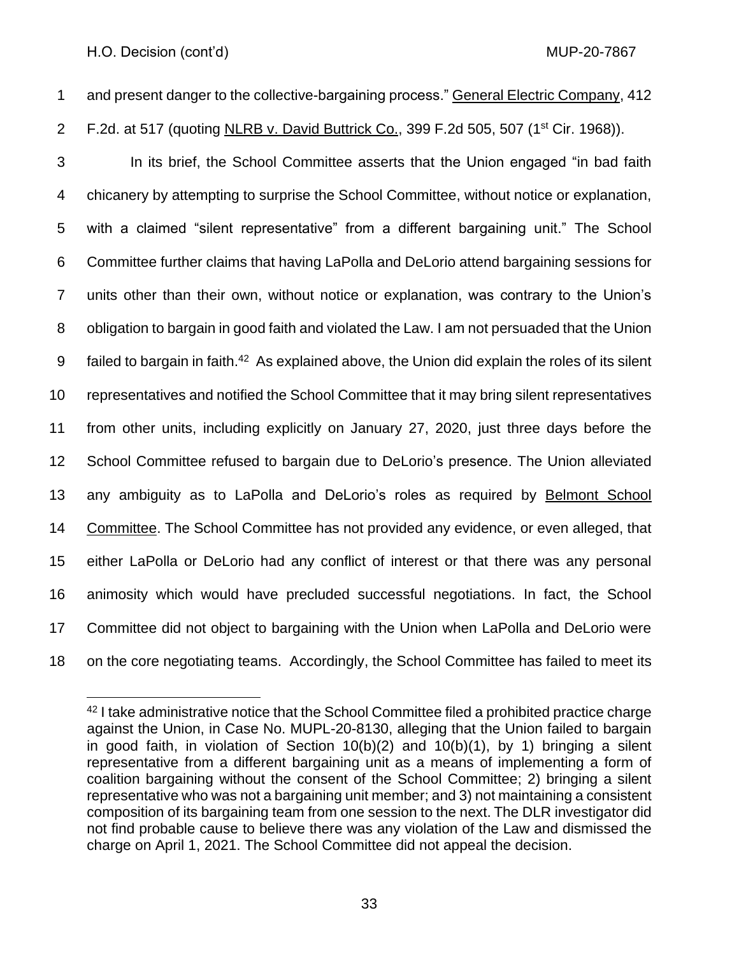and present danger to the collective-bargaining process." General Electric Company, 412

2 F.2d. at 517 (quoting NLRB v. David Buttrick Co., 399 F.2d 505, 507 (1<sup>st</sup> Cir. 1968)).

 In its brief, the School Committee asserts that the Union engaged "in bad faith chicanery by attempting to surprise the School Committee, without notice or explanation, with a claimed "silent representative" from a different bargaining unit." The School Committee further claims that having LaPolla and DeLorio attend bargaining sessions for units other than their own, without notice or explanation, was contrary to the Union's obligation to bargain in good faith and violated the Law. I am not persuaded that the Union 9 failed to bargain in faith.<sup>42</sup> As explained above, the Union did explain the roles of its silent representatives and notified the School Committee that it may bring silent representatives from other units, including explicitly on January 27, 2020, just three days before the School Committee refused to bargain due to DeLorio's presence. The Union alleviated any ambiguity as to LaPolla and DeLorio's roles as required by Belmont School Committee. The School Committee has not provided any evidence, or even alleged, that either LaPolla or DeLorio had any conflict of interest or that there was any personal animosity which would have precluded successful negotiations. In fact, the School Committee did not object to bargaining with the Union when LaPolla and DeLorio were on the core negotiating teams. Accordingly, the School Committee has failed to meet its

 I take administrative notice that the School Committee filed a prohibited practice charge against the Union, in Case No. MUPL-20-8130, alleging that the Union failed to bargain in good faith, in violation of Section 10(b)(2) and 10(b)(1), by 1) bringing a silent representative from a different bargaining unit as a means of implementing a form of coalition bargaining without the consent of the School Committee; 2) bringing a silent representative who was not a bargaining unit member; and 3) not maintaining a consistent composition of its bargaining team from one session to the next. The DLR investigator did not find probable cause to believe there was any violation of the Law and dismissed the charge on April 1, 2021. The School Committee did not appeal the decision.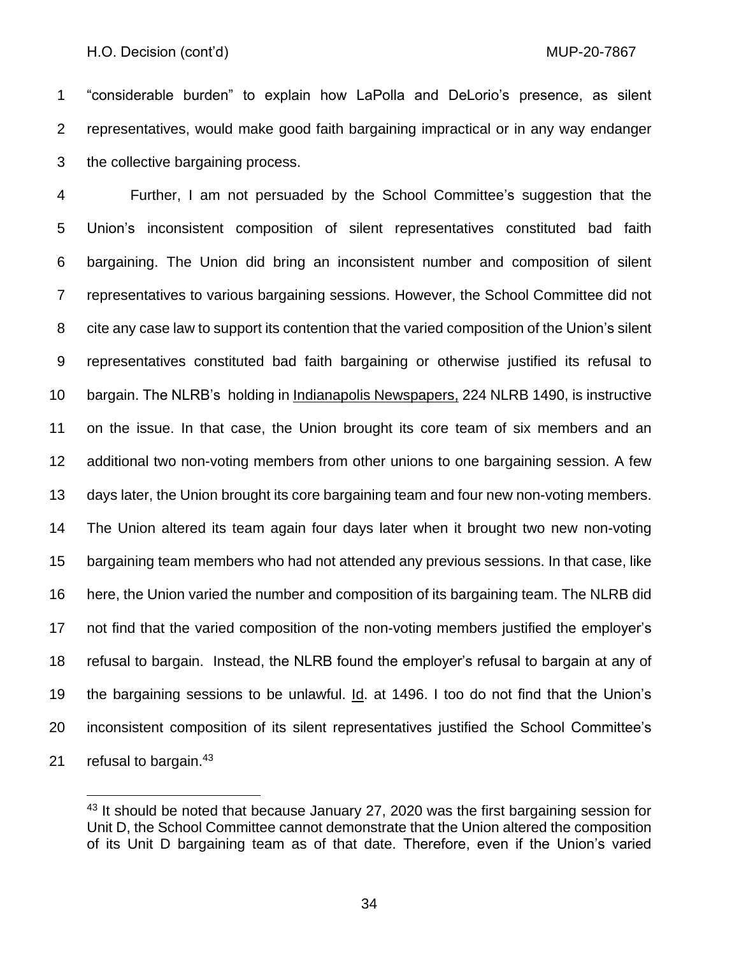"considerable burden" to explain how LaPolla and DeLorio's presence, as silent representatives, would make good faith bargaining impractical or in any way endanger the collective bargaining process.

 Further, I am not persuaded by the School Committee's suggestion that the Union's inconsistent composition of silent representatives constituted bad faith bargaining. The Union did bring an inconsistent number and composition of silent representatives to various bargaining sessions. However, the School Committee did not cite any case law to support its contention that the varied composition of the Union's silent representatives constituted bad faith bargaining or otherwise justified its refusal to bargain. The NLRB's holding in Indianapolis Newspapers, 224 NLRB 1490, is instructive on the issue. In that case, the Union brought its core team of six members and an additional two non-voting members from other unions to one bargaining session. A few days later, the Union brought its core bargaining team and four new non-voting members. The Union altered its team again four days later when it brought two new non-voting bargaining team members who had not attended any previous sessions. In that case, like here, the Union varied the number and composition of its bargaining team. The NLRB did not find that the varied composition of the non-voting members justified the employer's refusal to bargain. Instead, the NLRB found the employer's refusal to bargain at any of the bargaining sessions to be unlawful. Id. at 1496. I too do not find that the Union's inconsistent composition of its silent representatives justified the School Committee's 21 refusal to bargain.

<sup>&</sup>lt;sup>43</sup> It should be noted that because January 27, 2020 was the first bargaining session for Unit D, the School Committee cannot demonstrate that the Union altered the composition of its Unit D bargaining team as of that date. Therefore, even if the Union's varied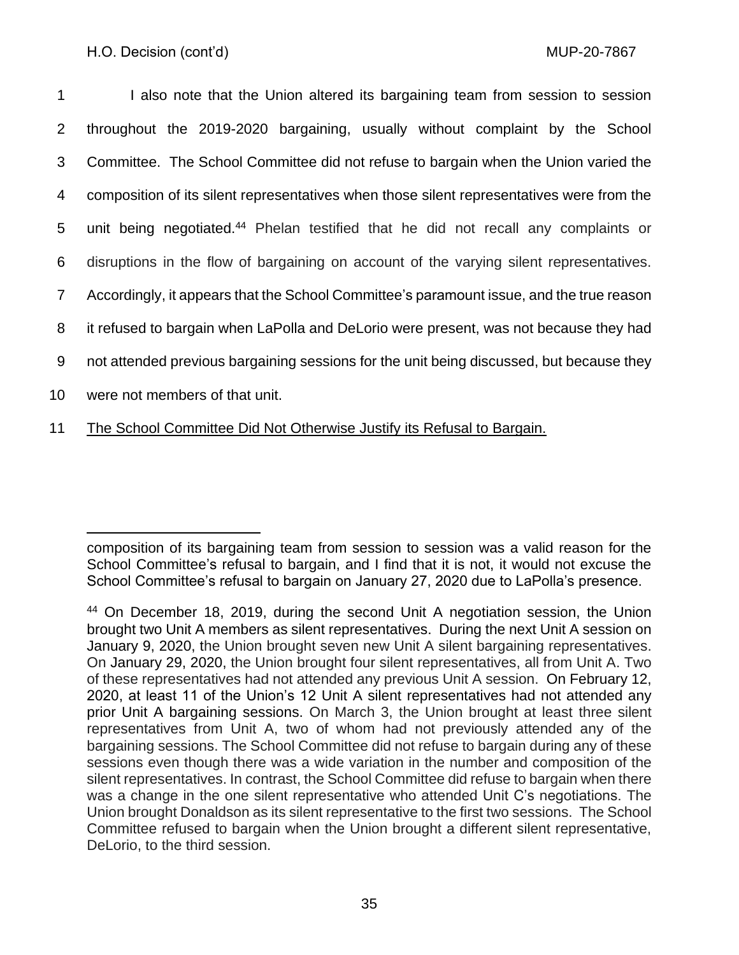1 I also note that the Union altered its bargaining team from session to session throughout the 2019-2020 bargaining, usually without complaint by the School Committee. The School Committee did not refuse to bargain when the Union varied the composition of its silent representatives when those silent representatives were from the 5 unit being negotiated.<sup>44</sup> Phelan testified that he did not recall any complaints or disruptions in the flow of bargaining on account of the varying silent representatives. Accordingly, it appears that the School Committee's paramount issue, and the true reason it refused to bargain when LaPolla and DeLorio were present, was not because they had not attended previous bargaining sessions for the unit being discussed, but because they were not members of that unit.

11 The School Committee Did Not Otherwise Justify its Refusal to Bargain.

composition of its bargaining team from session to session was a valid reason for the School Committee's refusal to bargain, and I find that it is not, it would not excuse the School Committee's refusal to bargain on January 27, 2020 due to LaPolla's presence.

<sup>&</sup>lt;sup>44</sup> On December 18, 2019, during the second Unit A negotiation session, the Union brought two Unit A members as silent representatives. During the next Unit A session on January 9, 2020, the Union brought seven new Unit A silent bargaining representatives. On January 29, 2020, the Union brought four silent representatives, all from Unit A. Two of these representatives had not attended any previous Unit A session. On February 12, 2020, at least 11 of the Union's 12 Unit A silent representatives had not attended any prior Unit A bargaining sessions. On March 3, the Union brought at least three silent representatives from Unit A, two of whom had not previously attended any of the bargaining sessions. The School Committee did not refuse to bargain during any of these sessions even though there was a wide variation in the number and composition of the silent representatives. In contrast, the School Committee did refuse to bargain when there was a change in the one silent representative who attended Unit C's negotiations. The Union brought Donaldson as its silent representative to the first two sessions. The School Committee refused to bargain when the Union brought a different silent representative, DeLorio, to the third session.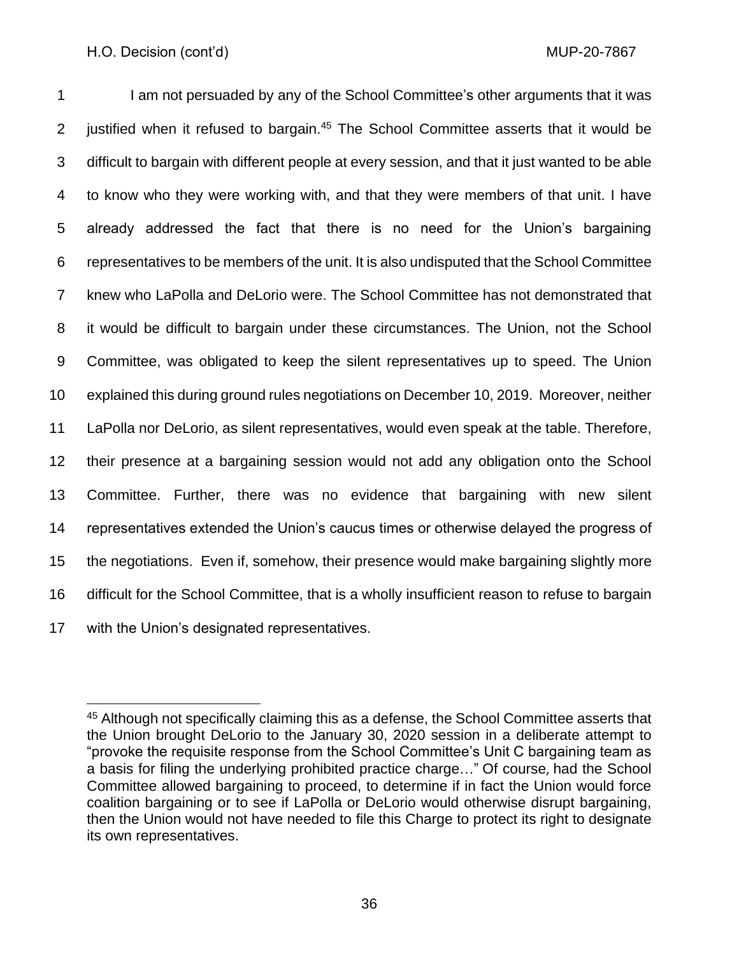1 I am not persuaded by any of the School Committee's other arguments that it was 2 justified when it refused to bargain.<sup>45</sup> The School Committee asserts that it would be difficult to bargain with different people at every session, and that it just wanted to be able to know who they were working with, and that they were members of that unit. I have already addressed the fact that there is no need for the Union's bargaining representatives to be members of the unit. It is also undisputed that the School Committee knew who LaPolla and DeLorio were. The School Committee has not demonstrated that it would be difficult to bargain under these circumstances. The Union, not the School Committee, was obligated to keep the silent representatives up to speed. The Union explained this during ground rules negotiations on December 10, 2019. Moreover, neither LaPolla nor DeLorio, as silent representatives, would even speak at the table. Therefore, their presence at a bargaining session would not add any obligation onto the School Committee. Further, there was no evidence that bargaining with new silent representatives extended the Union's caucus times or otherwise delayed the progress of the negotiations. Even if, somehow, their presence would make bargaining slightly more difficult for the School Committee, that is a wholly insufficient reason to refuse to bargain with the Union's designated representatives.

 Although not specifically claiming this as a defense, the School Committee asserts that the Union brought DeLorio to the January 30, 2020 session in a deliberate attempt to "provoke the requisite response from the School Committee's Unit C bargaining team as a basis for filing the underlying prohibited practice charge…" Of course, had the School Committee allowed bargaining to proceed, to determine if in fact the Union would force coalition bargaining or to see if LaPolla or DeLorio would otherwise disrupt bargaining, then the Union would not have needed to file this Charge to protect its right to designate its own representatives.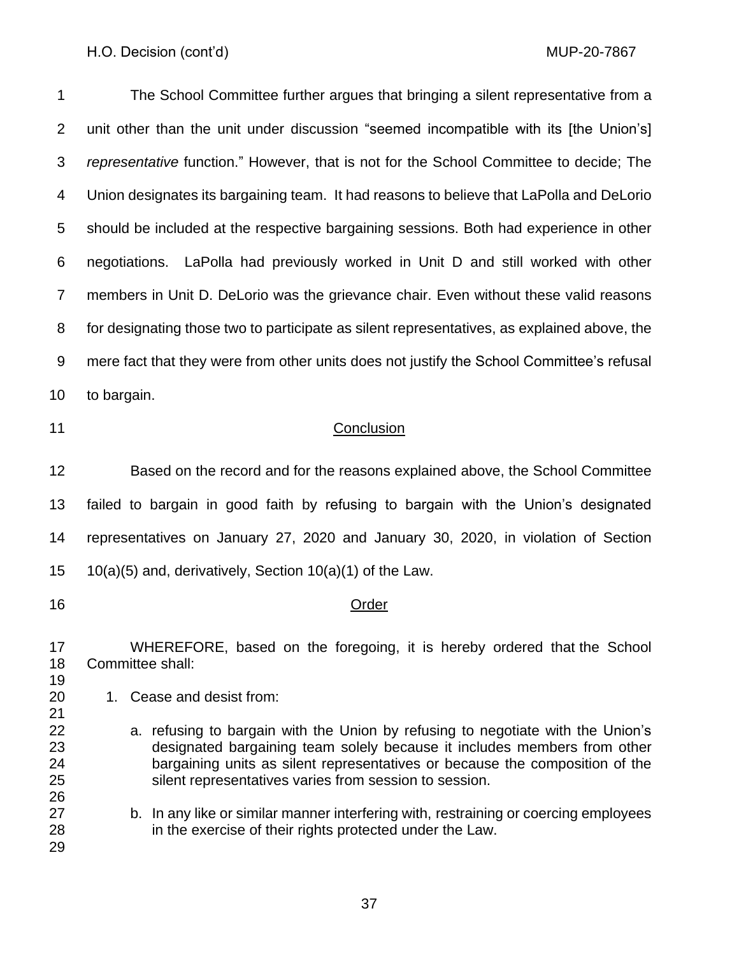The School Committee further argues that bringing a silent representative from a unit other than the unit under discussion "seemed incompatible with its [the Union's] *representative* function." However, that is not for the School Committee to decide; The Union designates its bargaining team. It had reasons to believe that LaPolla and DeLorio should be included at the respective bargaining sessions. Both had experience in other negotiations. LaPolla had previously worked in Unit D and still worked with other members in Unit D. DeLorio was the grievance chair. Even without these valid reasons for designating those two to participate as silent representatives, as explained above, the mere fact that they were from other units does not justify the School Committee's refusal to bargain.

## 11 Conclusion

 Based on the record and for the reasons explained above, the School Committee failed to bargain in good faith by refusing to bargain with the Union's designated representatives on January 27, 2020 and January 30, 2020, in violation of Section 10(a)(5) and, derivatively, Section 10(a)(1) of the Law.

## 16 Order

 WHEREFORE, based on the foregoing, it is hereby ordered that the School Committee shall:

1. Cease and desist from:

- a. refusing to bargain with the Union by refusing to negotiate with the Union's designated bargaining team solely because it includes members from other bargaining units as silent representatives or because the composition of the silent representatives varies from session to session.
- b. In any like or similar manner interfering with, restraining or coercing employees in the exercise of their rights protected under the Law.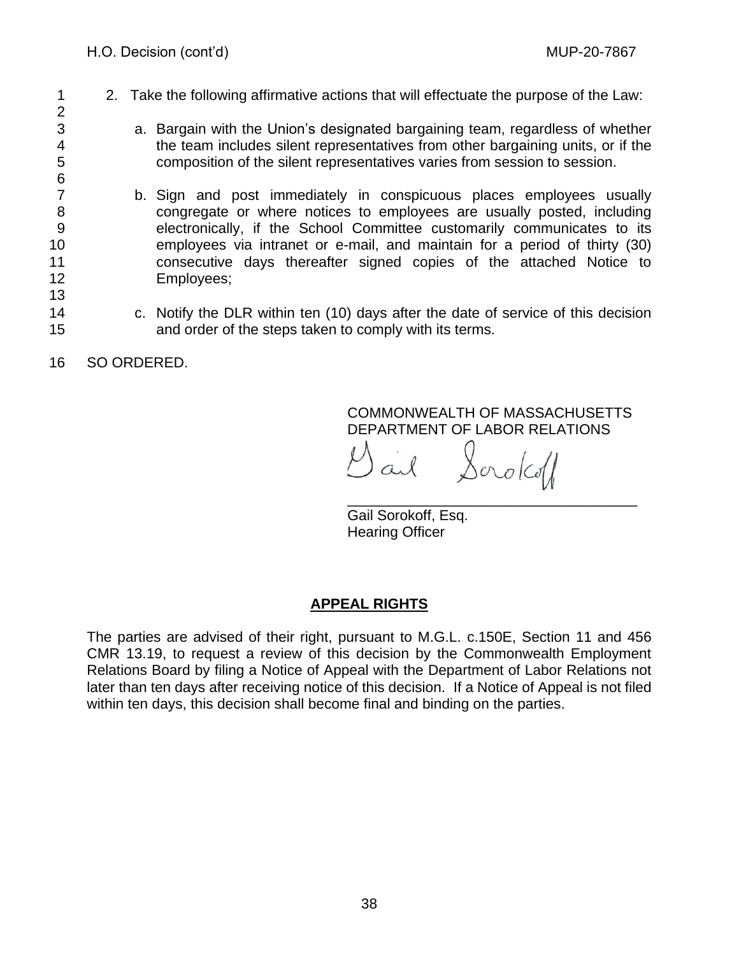- 1 2. Take the following affirmative actions that will effectuate the purpose of the Law: 2
- 3 a. Bargain with the Union's designated bargaining team, regardless of whether 4 the team includes silent representatives from other bargaining units, or if the 5 composition of the silent representatives varies from session to session.
- b. Sign and post immediately in conspicuous places employees usually 8 congregate or where notices to employees are usually posted, including 9 electronically, if the School Committee customarily communicates to its 10 employees via intranet or e-mail, and maintain for a period of thirty (30) 11 consecutive days thereafter signed copies of the attached Notice to 12 Employees;
- 14 c. Notify the DLR within ten (10) days after the date of service of this decision 15 and order of the steps taken to comply with its terms.

16 SO ORDERED.

6<br>7

13

COMMONWEALTH OF MASSACHUSETTS DEPARTMENT OF LABOR RELATIONS

Sorokoff

\_\_\_\_\_\_\_\_\_\_\_\_\_\_\_\_\_\_\_\_\_\_\_\_\_\_\_\_\_\_\_\_\_\_\_\_ Gail Sorokoff, Esq. Hearing Officer

# **APPEAL RIGHTS**

The parties are advised of their right, pursuant to M.G.L. c.150E, Section 11 and 456 CMR 13.19, to request a review of this decision by the Commonwealth Employment Relations Board by filing a Notice of Appeal with the Department of Labor Relations not later than ten days after receiving notice of this decision. If a Notice of Appeal is not filed within ten days, this decision shall become final and binding on the parties.